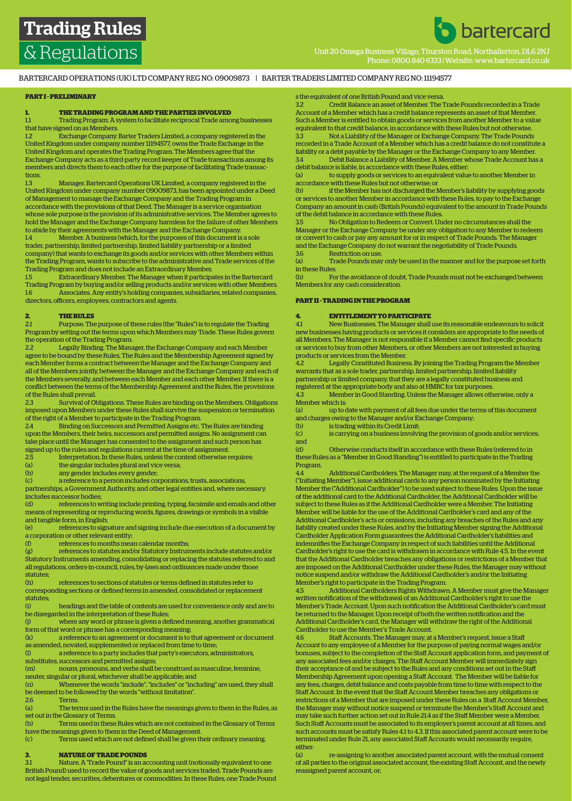Examples Unit 20 Omega Business Village, Thurston Road, Northall<br>
Unit 20 Omega Business Village, Thurston Road, Northaller<br>
Unit 20 Omega Business Village, Thurston Road, Northaller Phone: 0800 840 6333 | Website: www.bartercard.co.uk

**b** bartercard

BARTERCARD OPERATIONS (UK) LTD COMPANY REG NO: 09009873 | BARTER TRADERS LIMITED COMPANY REG NO: 11194577

## **PART I - PRELIMINARY**

### **1. THE TRADING PROGRAM AND THE PARTIES INVOLVED**

1.1 Trading Program. A system to facilitate reciprocal Trade among businesses that have signed on as Members.

1.2 Exchange Company. Barter Traders Limited, a company registered in the United Kingdom under company number 11194577, owns the Trade Exchange in the United Kingdom and operates the Trading Program. The Members agree that the Exchange Company acts as a third-party record keeper of Trade transactions among its members and directs them to each other for the purpose of facilitating Trade transactions.

1.3 Manager. Bartercard Operations UK Limited, a company registered in the United Kingdom under company number 09009873, has been appointed under a Deed of Management to manage the Exchange Company and the Trading Program in accordance with the provisions of that Deed. The Manager is a service organisation whose sole purpose is the provision of its administrative services. The Member agrees to hold the Manager and the Exchange Company harmless for the failure of other Members to abide by their agreements with the Manager and the Exchange Company.

1.4 Member. A business (which, for the purposes of this document is a sole trader, partnership, limited partnership, limited liability partnership or a limited company) that wants to exchange its goods and/or services with other Members within the Trading Program, wants to subscribe to the administrative and Trade services of the Trading Program and does not include an Extraordinary Member.

1.5 Extraordinary Member. The Manager when it participates in the Bartercard Trading Program by buying and/or selling products and/or services with other Members. 1.6 Associates. Any entity's holding companies, subsidiaries, related companies, directors, officers, employees, contractors and agents.

### **2. THE RULES**

2.1 Purpose. The purpose of these rules (the "Rules") is to regulate the Trading Program by setting out the terms upon which Members may Trade. These Rules govern the operation of the Trading Program.

2.2 Legally Binding. The Manager, the Exchange Company and each Member agree to be bound by these Rules, The Rules and the Membership Agreement signed by each Member forms a contract between the Manager and the Exchange Company and all of the Members jointly, between the Manager and the Exchange Company and each of the Members severally, and between each Member and each other Member. If there is a conflict between the terms of the Membership Agreement and the Rules, the provisions of the Rules shall prevail.

2.3 Survival of Obligations. These Rules are binding on the Members. Obligations imposed upon Members under these Rules shall survive the suspension or termination of the right of a Member to participate in the Trading Program.

2.4 Binding on Successors and Permitted Assigns etc. The Rules are binding upon the Members, their heirs, successors and permitted assigns. No assignment can take place until the Manager has consented to the assignment and such person has signed up to the rules and regulations current at the time of assignment.<br>
25 Interpretation In these Bules unless the context otherwise is

2.5 Interpretation. In these Rules, unless the context otherwise requires:<br>(a) the singular includes plural and vice versa;

(a) the singular includes plural and vice versa;<br>(b) any gender includes every gender;

(b) any gender includes every gender;<br>(c) a reference to a person includes co

a reference to a person includes corporations, trusts, associations,

partnerships, a Government Authority, and other legal entities and, where necessary, includes successor bodies;

(d) references to writing include printing, typing, facsimile and emails and other means of representing or reproducing words, figures, drawings or symbols in a visible and tangible form, in English;

references to signature and signing include due execution of a document by a corporation or other relevant entity;

(f) references to months mean calendar months;

(g) references to statutes and/or Statutory Instruments include statutes and/or Statutory Instruments amending, consolidating or replacing the statutes referred to and all regulations, orders-in-council, rules, by-laws and ordinances made under those statutes;<br>(h)

references to sections of statutes or terms defined in statutes refer to corresponding sections or defined terms in amended, consolidated or replacement statutes;<br>(i)

headings and the table of contents are used for convenience only and are to be disregarded in the interpretation of these Rules;

(j) where any word or phrase is given a defined meaning, another grammatical form of that word or phrase has a corresponding meaning;

(k) a reference to an agreement or document is to that agreement or document as amended, novated, supplemented or replaced from time to time;

(l) a reference to a party includes that party's executors, administrators, substitutes, successors and permitted assigns;

(m) nouns, pronouns, and verbs shall be construed as masculine, feminine,

neuter, singular or plural, whichever shall be applicable; and

(n) Whenever the words "include", "includes" or "including" are used, they shall be deemed to be followed by the words "without limitation".

2.6 Terms.<br>(a) The terms. The terms used in the Rules have the meanings given to them in the Rules, as set out in the Glossary of Terms.

Terms used in these Rules which are not contained in the Glossary of Terms have the meanings given to them in the Deed of Management.

(c) Terms used which are not defined shall be given their ordinary meaning.

### **3. NATURE OF TRADE POUNDS**

3.1 Nature. A 'Trade Pound" is an accounting unit (notionally equivalent to one British Pound) used to record the value of goods and services traded. Trade Pounds are not legal tender, securities, debentures or commodities. In these Rules, one Trade Pound

### s the equivalent of one British Pound and vice versa.

3.2 Credit Balance an asset of Member. The Trade Pounds recorded in a Trade Account of a Member which has a credit balance represents an asset of that Member. Such a Member is entitled to obtain goods or services from another Member to a value equivalent to that credit balance, in accordance with these Rules but not otherwise. 3.3 Not a Liability of the Manager or Exchange Company. The Trade Pounds

recorded in a Trade Account of a Member which has a credit balance do not constitute a liability or a debt payable by the Manager or the Exchange Company to any Member. 3.4 Debit Balance a Liability of Member. A Member whose Trade Account has a debit balance is liable, in accordance with these Rules, either:

(a) to supply goods or services to an equivalent value to another Member in accordance with these Rules but not otherwise; or

(b) if the Member has not discharged the Member's liability by supplying goods or services to another Member in accordance with these Rules, to pay to the Exchange Company an amount in cash (British Pounds) equivalent to the amount in Trade Pounds of the debit balance in accordance with these Rules.

3.5 No Obligation to Redeem or Convert. Under no circumstances shall the Manager or the Exchange Company be under any obligation to any Member to redeem or convert to cash or pay any amount for or in respect of Trade Pounds. The Manager and the Exchange Company do not warrant the negotiability of Trade Pounds.

3.6 Restriction on use.<br>
(a) Trade Pounds may Trade Pounds may only be used in the manner and for the purpose set forth in these Rules.

(b) For the avoidance of doubt, Trade Pounds must not be exchanged between Members for any cash consideration.

### **PART II - TRADING IN THE PROGRAM**

### **4. ENTITLEMENT TO PARTICIPATE**

4.1 New Businesses. The Manager shall use its reasonable endeavours to solicit new businesses having products or services it considers are appropriate to the needs of all Members. The Manager is not responsible if a Member cannot find specific products or services to buy from other Members, or other Members are not interested in buying products or services from the Member.

4.2 Legally Constituted Business. By joining the Trading Program the Member warrants that as a sole trader, partnership, limited partnership, limited liability partnership or limited company, that they are a legally constituted business and registered at the appropriate body and also at HMRC for tax purposes.

4.3 Member in Good Standing. Unless the Manager allows otherwise, only a Member which is:

(a) up to date with payment of all fees due under the terms of this document and charges owing to the Manager and/or Exchange Company;

(b) is trading within its Credit Limit;

(c) is carrying on a business involving the provision of goods and/or services; and<br>(d)

(d) Otherwise conducts itself in accordance with these Rules (referred to in these Rules as a "Member in Good Standing") is entitled to participate in the Trading Program.

4.4 Additional Cardholders. The Manager may, at the request of a Member the ("Initiating Member"), issue additional cards to any person nominated by the Initiating Member the ("Additional Cardholder") to be used subject to these Rules. Upon the issue of the additional card to the Additional Cardholder, the Additional Cardholder will be subject to these Rules as if the Additional Cardholder were a Member. The Initiating Member will be liable for the use of the Additional Cardholder's card and any of the Additional Cardholder's acts or omissions, including any breaches of the Rules and any liability created under these Rules, and by the Initiating Member signing the Additional Cardholder Application Form guarantees the Additional Cardholder's liabilities and indemnifies the Exchange Company in respect of such liabilities until the Additional Cardholder's right to use the card is withdrawn in accordance with Rule 4.5. In the event that the Additional Cardholder breaches any obligations or restrictions of a Member that are imposed on the Additional Cardholder under these Rules, the Manager may without notice suspend and/or withdraw the Additional Cardholder's and/or the Initiating Member's right to participate in the Trading Program.

4.5 Additional Cardholders Rights Withdrawn. A Member must give the Manager written notification of the withdrawal of an Additional Cardholder's right to use the Member's Trade Account. Upon such notification the Additional Cardholder's card must be returned to the Manager. Upon receipt of both the written notification and the Additional Cardholder's card, the Manager will withdraw the right of the Additional Cardholder to use the Member's Trade Account.

4.6 Staff Accounts. The Manager may, at a Member's request, issue a Staff Account to any employee of a Member for the purpose of paying normal wages and/or bonuses, subject to the completion of the Staff Account application form, and payment of any associated fees and/or charges. The Staff Account Member will immediately sign their acceptance of and be subject to the Rules and any conditions set out in the Staff Membership Agreement upon opening a Staff Account. The Member will be liable for any fees, charges, debit balance and costs payable from time to time with respect to the Staff Account. In the event that the Staff Account Member breaches any obligations or restrictions of a Member that are imposed under these Rules on a Staff Account Member, the Manager may without notice suspend or terminate the Member's Staff Account and may take such further action set out in Rule 21.4 as if the Staff Member were a Member. Such Staff Accounts must be associated to its employer's parent account at all times, and such accounts must be satisfy Rules 4.1 to 4.3. If this associated parent account were to be terminated under Rule 21, any associated Staff Accounts would necessarily require, either:<br>(a)

re-assigning to another associated parent account, with the mutual consent of all parties to the original associated account, the existing Staff Account, and the newly reassigned parent account, or;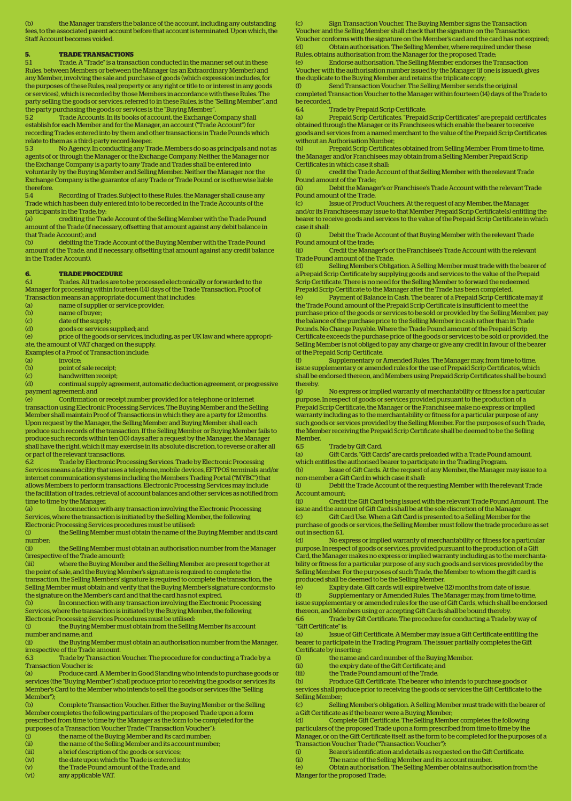the Manager transfers the balance of the account, including any outstanding fees, to the associated parent account before that account is terminated. Upon which, the Staff Account becomes voided.

### **5. TRADE TRANSACTIONS**

5.1 Trade. A "Trade" is a transaction conducted in the manner set out in these Rules, between Members or between the Manager (as an Extraordinary Member) and any Member, involving the sale and purchase of goods (which expression includes, for the purposes of these Rules, real property or any right or title to or interest in any goods or services), which is recorded by those Members in accordance with these Rules. The party selling the goods or services, referred to in these Rules, is the "Selling Member", and the party purchasing the goods or services is the "Buying Member".

5.2 Trade Accounts. In its books of account, the Exchange Company shall establish for each Member and for the Manager, an account ("Trade Account") for recording Trades entered into by them and other transactions in Trade Pounds which relate to them as a third-party record-keeper.

5.3 No Agency. In conducting any Trade, Members do so as principals and not as agents of or through the Manager or the Exchange Company. Neither the Manager nor the Exchange Company is a party to any Trade and Trades shall be entered into voluntarily by the Buying Member and Selling Member. Neither the Manager nor the

Exchange Company is the guarantor of any Trade or Trade Pound or is otherwise liable therefore.<br>54 5.4 Recording of Trades. Subject to these Rules, the Manager shall cause any

Trade which has been duly entered into to be recorded in the Trade Accounts of the participants in the Trade, by:

(a) crediting the Trade Account of the Selling Member with the Trade Pound amount of the Trade (if necessary, offsetting that amount against any debit balance in that Trade Account); and<br>(b) debiting the T

debiting the Trade Account of the Buying Member with the Trade Pound amount of the Trade, and if necessary, offsetting that amount against any credit balance in the Trader Account).

### **6. TRADE PROCEDURE**

6.1 Trades. All trades are to be processed electronically or forwarded to the Manager for processing within fourteen (14) days of the Trade Transaction. Proof of Transaction means an appropriate document that includes:

- (a) name of supplier or service provider;
- (b) name of buyer;
- 
- (c) date of the supply;<br>(d) goods or services :
- (d) goods or services supplied; and<br>(e) price of the goods or services, in price of the goods or services, including, as per UK law and where appropri-
- ate, the amount of VAT charged on the supply.
- Examples of a Proof of Transaction include:
- (a) invoice;<br>(b) point of
- (b) point of sale receipt;<br>(c) handwritten receipt
- (c) handwritten receipt;<br>(d) continual supply agr
- continual supply agreement, automatic deduction agreement, or progressive payment agreement; and

(e) Confirmation or receipt number provided for a telephone or internet transaction using Electronic Processing Services. The Buying Member and the Selling Member shall maintain Proof of Transactions in which they are a party for 12 months. Upon request by the Manager, the Selling Member and Buying Member shall each produce such records of the transaction. If the Selling Member or Buying Member fails to produce such records within ten (10) days after a request by the Manager, the Manager shall have the right, which it may exercise in its absolute discretion, to reverse or alter all or part of the relevant transactions.<br>6.2 Trade by Electronic Pro

Trade by Electronic Processing Services. Trade by Electronic Processing Services means a facility that uses a telephone, mobile devices, EFTPOS terminals and/or internet communication systems including the Members Trading Portal ("MYBC") that allows Members to perform transactions. Electronic Processing Services may include the facilitation of trades, retrieval of account balances and other services as notified from time to time by the Manager.

(a) In connection with any transaction involving the Electronic Processing Services, where the transaction is initiated by the Selling Member, the following Electronic Processing Services procedures must be utilised:

(i) the Selling Member must obtain the name of the Buying Member and its card number;

(ii) the Selling Member must obtain an authorisation number from the Manager (irrespective of the Trade amount);

(iii) where the Buying Member and the Selling Member are present together at the point of sale, and the Buying Member's signature is required to complete the transaction, the Selling Members' signature is required to complete the transaction, the Selling Member must obtain and verify that the Buying Member's signature conforms to the signature on the Member's card and that the card has not expired.

(b) In connection with any transaction involving the Electronic Processing Services, where the transaction is initiated by the Buying Member, the following Electronic Processing Services Procedures must be utilised:<br>(i) the Buying Member must obtain from the Selling

the Buying Member must obtain from the Selling Member its account number and name; and

(ii) the Buying Member must obtain an authorisation number from the Manager, irrespective of the Trade amount.

6.3 Trade by Transaction Voucher. The procedure for conducting a Trade by a Transaction Voucher is:

(a) Produce card. A Member in Good Standing who intends to purchase goods or services (the "Buying Member") shall produce prior to receiving the goods or services its Member's Card to the Member who intends to sell the goods or services (the "Selling Member");<br>(b)

(b) Complete Transaction Voucher. Either the Buying Member or the Selling Member completes the following particulars of the proposed Trade upon a form prescribed from time to time by the Manager as the form to be completed for the purposes of a Transaction Voucher Trade ("Transaction Voucher"):

(i) the name of the Buying Member and its card number;

(ii) the name of the Selling Member and its account number;

- (iii) a brief description of the goods or services;
- (iv) the date upon which the Trade is entered into;
- (v) the Trade Pound amount of the Trade; and
- (vi) any applicable VAT.

Sign Transaction Voucher. The Buying Member signs the Transaction Voucher and the Selling Member shall check that the signature on the Transaction Voucher conforms with the signature on the Member's card and the card has not expired; (d) Obtain authorisation. The Selling Member, where required under these Rules, obtains authorisation from the Manager for the proposed Trade;

(e) Endorse authorisation. The Selling Member endorses the Transaction Voucher with the authorisation number issued by the Manager (if one is issued), gives the duplicate to the Buying Member and retains the triplicate copy;<br>(f) Send Transaction Voucher The Selling Member sends

Send Transaction Voucher. The Selling Member sends the original completed Transaction Voucher to the Manager within fourteen (14) days of the Trade to be recorded.<br>6.4

6.4 Trade by Prepaid Scrip Certificate.

(a) Prepaid Scrip Certificates. "Prepaid Scrip Certificates" are prepaid certificates obtained through the Manager or its Franchisees which enable the bearer to receive goods and services from a named merchant to the value of the Prepaid Scrip Certificates without an Authorisation Number;

(b) Prepaid Scrip Certificates obtained from Selling Member. From time to time, the Manager and/or Franchisees may obtain from a Selling Member Prepaid Scrip Certificates in which case it shall:

(i) credit the Trade Account of that Selling Member with the relevant Trade Pound amount of the Trade;

(ii) Debit the Manager's or Franchisee's Trade Account with the relevant Trade Pound amount of the Trade.

(c) Issue of Product Vouchers. At the request of any Member, the Manager and/or its Franchisees may issue to that Member Prepaid Scrip Certificate(s) entitling the bearer to receive goods and services to the value of the Prepaid Scrip Certificate in which case it shall:

(i) Debit the Trade Account of that Buying Member with the relevant Trade Pound amount of the trade;

(ii) Credit the Manager's or the Franchisee's Trade Account with the relevant Trade Pound amount of the Trade.

(d) Selling Member's Obligation. A Selling Member must trade with the bearer of a Prepaid Scrip Certificate by supplying goods and services to the value of the Prepaid Scrip Certificate. There is no need for the Selling Member to forward the redeemed Prepaid Scrip Certificate to the Manager after the Trade has been completed.

(e) Payment of Balance in Cash. The bearer of a Prepaid Scrip Certificate may if the Trade Pound amount of the Prepaid Scrip Certificate is insufficient to meet the purchase price of the goods or services to be sold or provided by the Selling Member, pay the balance of the purchase price to the Selling Member in cash rather than in Trade Pounds. No Change Payable. Where the Trade Pound amount of the Prepaid Scrip Certificate exceeds the purchase price of the goods or services to be sold or provided, the Selling Member is not obliged to pay any charge or give any credit in favour of the bearer of the Prepaid Scrip Certificate.<br>(f) Supplementary or

Supplementary or Amended Rules. The Manager may, from time to time, issue supplementary or amended rules for the use of Prepaid Scrip Certificates, which shall be endorsed thereon, and Members using Prepaid Scrip Certificates shall be bound thereby.

(g) No express or implied warranty of merchantability or fitness for a particular purpose. In respect of goods or services provided pursuant to the production of a Prepaid Scrip Certificate, the Manager or the Franchisee make no express or implied warranty including as to the merchantability or fitness for a particular purpose of any such goods or services provided by the Selling Member. For the purposes of such Trade, the Member receiving the Prepaid Scrip Certificate shall be deemed to be the Selling Member.

6.5 Trade by Gift Card.<br>(a) Gift Cards. "Gift Car Gift Cards. "Gift Cards" are cards preloaded with a Trade Pound amount,

which entitles the authorised bearer to participate in the Trading Program.<br>(b) Issue of Gift Cards. At the request of any Member, the Manager Issue of Gift Cards. At the request of any Member, the Manager may issue to a non-member a Gift Card in which case it shall:

(i) Debit the Trade Account of the requesting Member with the relevant Trade Account amount;<br>(ii) Credit

Credit the Gift Card being issued with the relevant Trade Pound Amount. The issue and the amount of Gift Cards shall be at the sole discretion of the Manager

(c) Gift Card Use. When a Gift Card is presented to a Selling Member for the purchase of goods or services, the Selling Member must follow the trade procedure as set out in section 61

(d) No express or implied warranty of merchantability or fitness for a particular purpose. In respect of goods or services, provided pursuant to the production of a Gi Card, the Manager makes no express or implied warranty including as to the merchantability or fitness for a particular purpose of any such goods and services provided by the Selling Member. For the purposes of such Trade, the Member to whom the gift card is produced shall be deemed to be the Selling Member.

the Expiry date. Gift cards will expire twelve (12) months from date of issue.

(f) Supplementary or Amended Rules. The Manager may, from time to time,

issue supplementary or amended rules for the use of Gift Cards, which shall be endorsed thereon, and Members using or accepting Gift Cards shall be bound thereby. 6.6 Trade by Gift Certificate. The procedure for conducting a Trade by way of

"Gift Certificate" is: (a) Issue of Gift Certificate. A Member may issue a Gift Certificate entitling the

bearer to participate in the Trading Program. The issuer partially completes the Gi Certificate by inserting:

- (i) the name and card number of the Buying Member.
- (ii) the expiry date of the Gift Certificate; and (iii) the Trade Pound amount of the Trade.
- (b) Produce Gift Certificate. The bearer who intends to purchase goods or

services shall produce prior to receiving the goods or services the Gift Certificate to the Selling Member;

(c) Selling Member's obligation. A Selling Member must trade with the bearer of a Gift Certificate as if the bearer were a Buying Member;

(d) Complete Gift Certificate. The Selling Member completes the following particulars of the proposed Trade upon a form prescribed from time to time by the Manager, or on the Gift Certificate itself, as the form to be completed for the purposes of a Transaction Voucher Trade ("Transaction Voucher"):

(i) Bearer's identification and details as requested on the Gift Certificate.

(ii) The name of the Selling Member and its account number.

(e) Obtain authorisation. The Selling Member obtains authorisation from the Manger for the proposed Trade;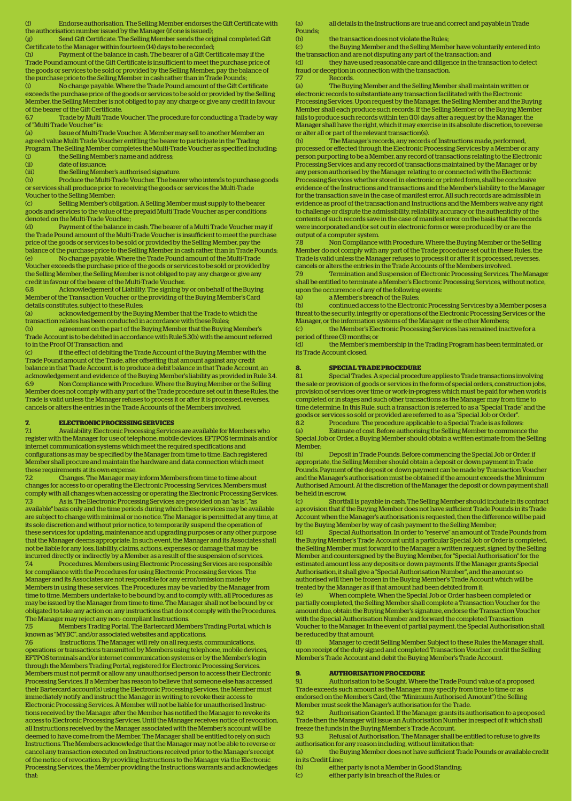(f) Endorse authorisation. The Selling Member endorses the Gift Certificate with the authorisation number issued by the Manager (if one is issued);

(g) Send Gift Certificate. The Selling Member sends the original completed Gift Certificate to the Manager within fourteen (14) days to be recorded;

(h) Payment of the balance in cash. The bearer of a Gift Certificate may if the Trade Pound amount of the Gift Certificate is insufficient to meet the purchase price of the goods or services to be sold or provided by the Selling Member, pay the balance of the purchase price to the Selling Member in cash rather than in Trade Pounds; (i) No change payable. Where the Trade Pound amount of the Gift Certificate

exceeds the purchase price of the goods or services to be sold or provided by the Selling Member, the Selling Member is not obliged to pay any charge or give any credit in favour of the bearer of the Gift Certificate.

6.7 Trade by Multi Trade Voucher. The procedure for conducting a Trade by way of "Multi Trade Voucher" is:

(a) Issue of Multi-Trade Voucher. A Member may sell to another Member an agreed value Multi Trade Voucher entitling the bearer to participate in the Trading Program. The Selling Member completes the Multi-Trade Voucher as specified including: the Selling Member's name and address

(ii) date of issuance;

(iii) the Selling Member's authorised signature.

(b) Produce the Multi-Trade Voucher. The bearer who intends to purchase goods or services shall produce prior to receiving the goods or services the Multi-Trade Voucher to the Selling Member;

(c) Selling Member's obligation. A Selling Member must supply to the bearer goods and services to the value of the prepaid Multi Trade Voucher as per conditions denoted on the Multi-Trade Voucher;<br>(d) Payment of the balance in

(d) Payment of the balance in cash. The bearer of a Multi Trade Voucher may if the Trade Pound amount of the Multi-Trade Voucher is insufficient to meet the purchase price of the goods or services to be sold or provided by the Selling Member, pay the balance of the purchase price to the Selling Member in cash rather than in Trade Pounds; (e) No change payable. Where the Trade Pound amount of the Multi-Trade Voucher exceeds the purchase price of the goods or services to be sold or provided by

the Selling Member, the Selling Member is not obliged to pay any charge or give any credit in favour of the bearer of the Multi-Trade Voucher.

6.8 Acknowledgement of Liability. The signing by or on behalf of the Buying Member of the Transaction Voucher or the providing of the Buying Member's Card details constitutes, subject to these Rules:

(a) acknowledgement by the Buying Member that the Trade to which the transaction relates has been conducted in accordance with these Rules;

(b) agreement on the part of the Buying Member that the Buying Member's Trade Account is to be debited in accordance with Rule 5.3(b) with the amount referred to in the Proof Of Transaction; and

(c) if the effect of debiting the Trade Account of the Buying Member with the Trade Pound amount of the Trade, after offsetting that amount against any credit balance in that Trade Account, is to produce a debit balance in that Trade Account, an acknowledgement and evidence of the Buying Member's liability as provided in Rule 3.4. 6.9 Non Compliance with Procedure. Where the Buying Member or the Selling Member does not comply with any part of the Trade procedure set out in these Rules, the Trade is valid unless the Manager refuses to process it or after it is processed, reverses, cancels or alters the entries in the Trade Accounts of the Members involved.

### **7. ELECTRONIC PROCESSING SERVICES**

7.1 Availability. Electronic Processing Services are available for Members who register with the Manager for use of telephone, mobile devices, EFTPOS terminals and/or internet communication systems which meet the required specifications and configurations as may be specified by the Manager from time to time. Each registered Member shall procure and maintain the hardware and data connection which meet these requirements at its own expense.

7.2 Changes. The Manager may inform Members from time to time about changes for access to or operating the Electronic Processing Services. Members must comply with all changes when accessing or operating the Electronic Processing Services. 7.3 As is. The Electronic Processing Services are provided on an "as is", "as available" basis only and the time periods during which these services may be available are subject to change with minimal or no notice. The Manager is permitted at any time, at its sole discretion and without prior notice, to temporarily suspend the operation of these services for updating, maintenance and upgrading purposes or any other purpose that the Manager deems appropriate. In such event, the Manager and its Associates shall not be liable for any loss, liability, claims, actions, expenses or damage that may be

incurred directly or indirectly by a Member as a result of the suspension of services. 7.4 Procedures. Members using Electronic Processing Services are responsible for compliance with the Procedures for using Electronic Processing Services. The Manager and its Associates are not responsible for any error/omission made by Members in using these services. The Procedures may be varied by the Manager from time to time. Members undertake to be bound by, and to comply with, all Procedures as may be issued by the Manager from time to time. The Manager shall not be bound by or obligated to take any action on any instructions that do not comply with the Procedures. The Manager may reject any non- compliant Instructions.<br>
75 Members Trading Portal The Bartercard Mem

7.5 Members Trading Portal. The Bartercard Members Trading Portal, which is known as "MYBC", and/or associated websites and applications.

7.6 Instructions. The Manager will rely on all requests, communications, operations or transactions transmitted by Members using telephone, mobile devices, EFTPOS terminals and/or internet communication systems or by the Member's login through the Members Trading Portal, registered for Electronic Processing Services. Members must not permit or allow any unauthorised person to access their Electronic Processing Services. If a Member has reason to believe that someone else has accessed their Bartercard account(s) using the Electronic Processing Services, the Member must immediately notify and instruct the Manager in writing to revoke their access to Electronic Processing Services. A Member will not be liable for unauthorised Instructions received by the Manager after the Member has notified the Manager to revoke its access to Electronic Processing Services. Until the Manager receives notice of revocation, all Instructions received by the Manager associated with the Member's account will be deemed to have come from the Member. The Manager shall be entitled to rely on such Instructions. The Members acknowledge that the Manager may not be able to reverse or cancel any transaction executed on Instructions received prior to the Manager's receipt of the notice of revocation. By providing Instructions to the Manager via the Electronic Processing Services, the Member providing the Instructions warrants and acknowledges that:

(a) all details in the Instructions are true and correct and payable in Trade Pounds;

(b) the transaction does not violate the Rules;

(c) the Buying Member and the Selling Member have voluntarily entered into the transaction and are not disputing any part of the transaction; and

(d) they have used reasonable care and diligence in the transaction to detect fraud or deception in connection with the transaction.

7.7 Records.

(a) The Buying Member and the Selling Member shall maintain written or electronic records to substantiate any transaction facilitated with the Electronic Processing Services. Upon request by the Manager, the Selling Member and the Buying Member shall each produce such records. If the Selling Member or the Buying Member fails to produce such records within ten (10) days after a request by the Manager, the Manager shall have the right, which it may exercise in its absolute discretion, to reverse or alter all or part of the relevant transaction(s).

(b) The Manager's records, any records of Instructions made, performed, processed or effected through the Electronic Processing Services by a Member or any person purporting to be a Member, any record of transactions relating to the Electronic Processing Services and any record of transactions maintained by the Manager or by any person authorised by the Manager relating to or connected with the Electronic Processing Services whether stored in electronic or printed form, shall be conclusive evidence of the Instructions and transactions and the Member's liability to the Manager for the transaction save in the case of manifest error. All such records are admissible in evidence as proof of the transaction and Instructions and the Members waive any right to challenge or dispute the admissibility, reliability, accuracy or the authenticity of the contents of such records save in the case of manifest error on the basis that the records were incorporated and/or set out in electronic form or were produced by or are the output of a computer system.<br>7.8 Mon Compliance

7.8 Non Compliance with Procedure. Where the Buying Member or the Selling Member do not comply with any part of the Trade procedure set out in these Rules, the Trade is valid unless the Manager refuses to process it or after it is processed, reverses, cancels or alters the entries in the Trade Accounts of the Members involved.

7.9 Termination and Suspension of Electronic Processing Services. The Manager shall be entitled to terminate a Member's Electronic Processing Services, without notice, upon the occurrence of any of the following events:

(a) a Member's breach of the Rules;<br>(b) continued access to the Electron

(b) continued access to the Electronic Processing Services by a Member poses a threat to the security, integrity or operations of the Electronic Processing Services or the Manager, or the information systems of the Manager or the other Members;

(c) the Member's Electronic Processing Services has remained inactive for a period of three (3) months; or

(d) the Member's membership in the Trading Program has been terminated, or its Trade Account closed.

## **8. SPECIAL TRADE PROCEDURE**

8.1 Special Trades. A special procedure applies to Trade transactions involving the sale or provision of goods or services in the form of special orders, construction jobs, provision of services over time or work-in-progress which must be paid for when work is completed or in stages and such other transactions as the Manager may from time to time determine. In this Rule, such a transaction is referred to as a "Special Trade" and the goods or services so sold or provided are referred to as a "Special Job or Order".

8.2 Procedure. The procedure applicable to a Special Trade is as follows:

(a) Estimate of cost. Before authorising the Selling Member to commence the Special Job or Order, a Buying Member should obtain a written estimate from the Selling Member;

(b) Deposit in Trade Pounds. Before commencing the Special Job or Order, if appropriate, the Selling Member should obtain a deposit or down payment in Trade Pounds. Payment of the deposit or down payment can be made by Transaction Voucher and the Manager's authorisation must be obtained if the amount exceeds the Minimum Authorised Amount. At the discretion of the Manager the deposit or down payment shall be held in escrow.

(c) Shortfall is payable in cash. The Selling Member should include in its contract a provision that if the Buying Member does not have sufficient Trade Pounds in its Trade Account when the Manager's authorisation is requested, then the difference will be paid by the Buying Member by way of cash payment to the Selling Member;

(d) Special Authorisation. In order to "reserve" an amount of Trade Pounds from the Buying Member's Trade Account until a particular Special Job or Order is completed, the Selling Member must forward to the Manager a written request, signed by the Selling Member and countersigned by the Buying Member, for "Special Authorisation" for the estimated amount less any deposits or down payments. If the Manager grants Special Authorisation, it shall give a "Special Authorisation Number'', and the amount so authorised will then be frozen in the Buying Member's Trade Account which will be treated by the Manager as if that amount had been debited from it;

When complete. When the Special Job or Order has been completed or partially completed, the Selling Member shall complete a Transaction Voucher for the amount due, obtain the Buying Member's signature, endorse the Transaction Voucher with the Special Authorisation Number and forward the completed Transaction Voucher to the Manager. In the event of partial payment, the Special Authorisation shall be reduced by that amount;

(f) Manager to credit Selling Member. Subject to these Rules the Manager shall, upon receipt of the duly signed and completed Transaction Voucher, credit the Selling Member's Trade Account and debit the Buying Member's Trade Account.

## **9. AUTHORISATION PROCEDURE**<br> **91** Authorisation to be Sought Where

9.1 Authorisation to be Sought. Where the Trade Pound value of a proposed Trade exceeds such amount as the Manager may specify from time to time or as endorsed on the Member's Card, (the "Minimum Authorised Amount") the Selling Member must seek the Manager's authorisation for the Trade.

9.2 Authorisation Granted. If the Manager grants its authorisation to a proposed Trade then the Manager will issue an Authorisation Number in respect of it which shall freeze the funds in the Buying Member's Trade Account.

9.3 Refusal of Authorisation. The Manager shall be entitled to refuse to give its authorisation for any reason including, without limitation that:

(a) the Buying Member does not have sufficient Trade Pounds or available credit in its Credit Line;

(b) either party is not a Member in Good Standing;

(c) either party is in breach of the Rules; or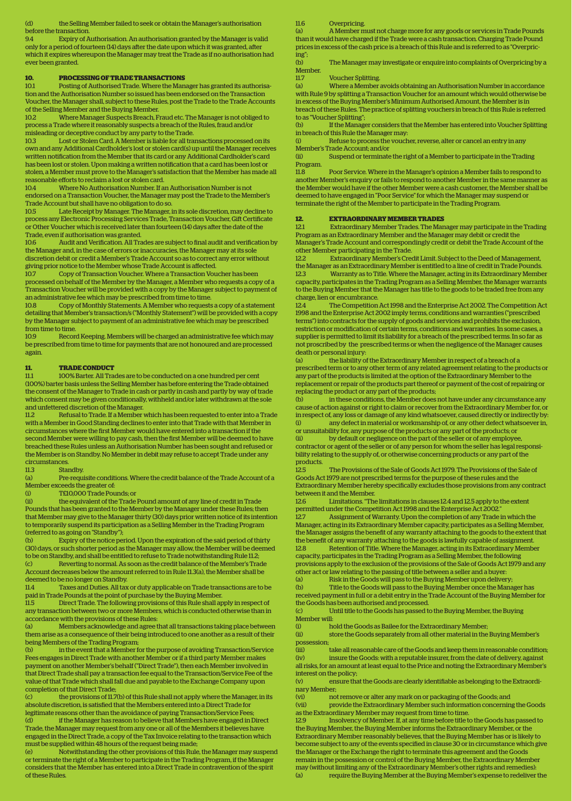the Selling Member failed to seek or obtain the Manager's authorisation before the transaction

9.4 Expiry of Authorisation. An authorisation granted by the Manager is valid only for a period of fourteen  $(14)$  days after the date upon which it was granted, after which it expires whereupon the Manager may treat the Trade as if no authorisation had ever been granted.

# **10. PROCESSING OF TRADE TRANSACTIONS**<br>10.1 Posting of Authorised Trade. Where the Man

10.1 Posting of Authorised Trade. Where the Manager has granted its authorisation and the Authorisation Number so issued has been endorsed on the Transaction Voucher, the Manager shall, subject to these Rules, post the Trade to the Trade Accounts of the Selling Member and the Buying Member.

10.2 Where Manager Suspects Breach, Fraud etc. The Manager is not obliged to process a Trade where it reasonably suspects a breach of the Rules, fraud and/or misleading or deceptive conduct by any party to the Trade.

10.3 Lost or Stolen Card. A Member is liable for all transactions processed on its own and any Additional Cardholder's lost or stolen card(s) up until the Manager receives written notification from the Member that its card or any Additional Cardholder's card has been lost or stolen. Upon making a written notification that a card has been lost or stolen, a Member must prove to the Manager's satisfaction that the Member has made all reasonable efforts to reclaim a lost or stolen card.

10.4 Where No Authorisation Number. If an Authorisation Number is not endorsed on a Transaction Voucher, the Manager may post the Trade to the Member's Trade Account but shall have no obligation to do so.

10.5 Late Receipt by Manager. The Manager, in its sole discretion, may decline to process any Electronic Processing Services Trade, Transaction Voucher, Gift Certificate or Other Voucher which is received later than fourteen (14) days after the date of the Trade, even if authorisation was granted.

10.6 Audit and Verification. All Trades are subject to final audit and verification by the Manager and, in the case of errors or inaccuracies, the Manager may at its sole discretion debit or credit a Member's Trade Account so as to correct any error without giving prior notice to the Member whose Trade Account is affected.

10.7 Copy of Transaction Voucher. Where a Transaction Voucher has been processed on behalf of the Member by the Manager, a Member who requests a copy of a Transaction Voucher will be provided with a copy by the Manager subject to payment of an administrative fee which may be prescribed from time to time.

10.8 Copy of Monthly Statements. A Member who requests a copy of a statement detailing that Member's transaction/s ("Monthly Statement") will be provided with a copy by the Manager subject to payment of an administrative fee which may be prescribed from time to time.

10.9 Record Keeping. Members will be charged an administrative fee which may be prescribed from time to time for payments that are not honoured and are processed again.

### **11. TRADE CONDUCT**

11.1 100% Barter. All Trades are to be conducted on a one hundred per cent (100%) barter basis unless the Selling Member has before entering the Trade obtained the consent of the Manager to Trade in cash or partly in cash and partly by way of trade which consent may be given conditionally, withheld and/or later withdrawn at the sole and unfettered discretion of the Manager.

11.2 Refusal to Trade. If a Member which has been requested to enter into a Trade with a Member in Good Standing declines to enter into that Trade with that Member in circumstances where the first Member would have entered into a transaction if the second Member were willing to pay cash, then the first Member will be deemed to have breached these Rules unless an Authorisation Number has been sought and refused or the Member is on Standby. No Member in debit may refuse to accept Trade under any circumstances.

Standby.

(a) Pre-requisite conditions. Where the credit balance of the Trade Account of a Member exceeds the greater of:<br>(i) TE10.000 Trade Pou

(i) TE10,000 Trade Pounds; or<br>
(ii) the equivalent of the Trade

the equivalent of the Trade Pound amount of any line of credit in Trade Pounds that has been granted to the Member by the Manager under these Rules; then that Member may give to the Manager thirty (30) days prior written notice of its intention to temporarily suspend its participation as a Selling Member in the Trading Program (referred to as going on "Standby");

(b) Expiry of the notice period. Upon the expiration of the said period of thirty (30) days, or such shorter period as the Manager may allow, the Member will be deemed to be on Standby, and shall be entitled to refuse to Trade notwithstanding Rule 11.2;

(c) Reverting to normal. As soon as the credit balance of the Member's Trade Account decreases below the amount referred to in Rule 11.3(a), the Member shall be deemed to be no longer on Standby.<br>11.4 Taxes and Duties. All tax

Taxes and Duties. All tax or duty applicable on Trade transactions are to be paid in Trade Pounds at the point of purchase by the Buying Member.

11.5 Direct Trade. The following provisions of this Rule shall apply in respect of any transaction between two or more Members, which is conducted otherwise than in accordance with the provisions of these Rules:

(a) Members acknowledge and agree that all transactions taking place between them arise as a consequence of their being introduced to one another as a result of their being Members of the Trading Program;

(b) in the event that a Member for the purpose of avoiding Transaction/Service Fees engages in Direct Trade with another Member or if a third party Member makes payment on another Member's behalf ("Direct Trade"), then each Member involved in that Direct Trade shall pay a transaction fee equal to the Transaction/Service Fee of the value of that Trade which shall fall due and payable to the Exchange Company upon completion of that Direct Trade;

(c) the provisions of 11.7(b) of this Rule shall not apply where the Manager, in its absolute discretion, is satisfied that the Members entered into a Direct Trade for legitimate reasons other than the avoidance of paying Transaction/Service Fees;

(d) if the Manager has reason to believe that Members have engaged in Direct Trade, the Manager may request from any one or all of the Members it believes have engaged in the Direct Trade, a copy of the Tax Invoice relating to the transaction which must be supplied within 48 hours of the request being made;

(e) Notwithstanding the other provisions of this Rule, the Manager may suspend or terminate the right of a Member to participate in the Trading Program, if the Manager considers that the Member has entered into a Direct Trade in contravention of the spirit of these Rules.

11.6 Overpricing.

(a) A Member must not charge more for any goods or services in Trade Pounds than it would have charged if the Trade were a cash transaction. Charging Trade Pound prices in excess of the cash price is a breach of this Rule and is referred to as "Overpricing";

(b) The Manager may investigate or enquire into complaints of Overpricing by a Member.<br>11.7

11.7 Voucher Splitting.<br>
(a) Where a Member

Where a Member avoids obtaining an Authorisation Number in accordance with Rule 9 by splitting a Transaction Voucher for an amount which would otherwise be in excess of the Buying Member's Minimum Authorised Amount, the Member is in breach of these Rules. The practice of splitting vouchers in breach of this Rule is referred to as "Voucher Splitting";

If the Manager considers that the Member has entered into Voucher Splitting in breach of this Rule the Manager may:

(i) Refuse to process the voucher, reverse, alter or cancel an entry in any Member's Trade Account; and/or

Suspend or terminate the right of a Member to participate in the Trading Program.

11.8 Poor Service. Where in the Manager's opinion a Member fails to respond to another Member's enquiry or fails to respond to another Member in the same manner as the Member would have if the other Member were a cash customer, the Member shall be deemed to have engaged in "Poor Service" for which the Manager may suspend or terminate the right of the Member to participate in the Trading Program.

## **12. EXTRAORDINARY MEMBER TRADES**<br>12.1 Extraordinary Member Trades. The Man

12.1 Extraordinary Member Trades. The Manager may participate in the Trading Program as an Extraordinary Member and the Manager may debit or credit the Manager's Trade Account and correspondingly credit or debit the Trade Account of the

other Member participating in the Trade. 12.2 Extraordinary Member's Credit Limit. Subject to the Deed of Management, the Manager as an Extraordinary Member is entitled to a line of credit in Trade Pounds.<br>12.3 Warranty as to Title Where the Manager acting in its Extraordinary Membe 12.3 Warranty as to Title. Where the Manager, acting in its Extraordinary Member capacity, participates in the Trading Program as a Selling Member, the Manager warrants to the Buying Member that the Manager has title to the goods to be traded free from any charge, lien or encumbrance.

12.4 The Competition Act 1998 and the Enterprise Act 2002. The Competition Act 1998 and the Enterprise Act 2002 imply terms, conditions and warranties ("prescribed terms") into contracts for the supply of goods and services and prohibits the exclusion, restriction or modification of certain terms, conditions and warranties. In some cases, a supplier is permitted to limit its liability for a breach of the prescribed terms. In so far as not proscribed by the prescribed terms or when the negligence of the Manager causes death or personal injury:

the liability of the Extraordinary Member in respect of a breach of a prescribed term or to any other term of any related agreement relating to the products or any part of the products is limited at the option of the Extraordinary Member to the replacement or repair of the products part thereof or payment of the cost of repairing or replacing the product or any part of the products;

(b) in these conditions, the Member does not have under any circumstance any cause of action against or right to claim or recover from the Extraordinary Member for, or in respect of, any loss or damage of any kind whatsoever, caused directly or indirectly by: any defect in material or workmanship of, or any other defect whatsoever in, or unsuitability for, any purpose of the products or any part of the products; or

(ii) by default or negligence on the part of the seller or of any employee, contractor or agent of the seller or of any person for whom the seller has legal responsibility relating to the supply of, or otherwise concerning products or any part of the

products<br>12.5 The Provisions of the Sale of Goods Act 1979. The Provisions of the Sale of Goods Act 1979 are not prescribed terms for the purpose of these rules and the Extraordinary Member hereby specifically excludes those provisions from any contract between it and the Member.<br>126 [11] Limitations "The

12.6 Limitations. "The limitations in clauses 12.4 and 12.5 apply to the extent permitted under the Competition Act 1998 and the Enterprise Act 2002."

12.7 Assignment of Warranty. Upon the completion of any Trade in which the Manager, acting in its Extraordinary Member capacity, participates as a Selling Member, the Manager assigns the benefit of any warranty attaching to the goods to the extent that the benefit of any warranty attaching to the goods is lawfully capable of assignment. 12.8 Retention of Title. Where the Manager, acting in its Extraordinary Member capacity, participates in the Trading Program as a Selling Member, the following provisions apply to the exclusion of the provisions of the Sale of Goods Act 1979 and any

other act or law relating to the passing of title between a seller and a buyer:

(a) Risk in the Goods will pass to the Buying Member upon delivery;<br>(b) Title to the Goods will pass to the Buying Member once the Mana Title to the Goods will pass to the Buying Member once the Manager has received payment in full or a debit entry in the Trade Account of the Buying Member for the Goods has been authorised and processed.

(c) Until title to the Goods has passed to the Buying Member, the Buying Member will:

(i) hold the Goods as Bailee for the Extraordinary Member;

(ii) store the Goods separately from all other material in the Buying Member's possession;

(iii) take all reasonable care of the Goods and keep them in reasonable condition; (iv) insure the Goods: with a reputable insurer, from the date of delivery, against all risks, for an amount at least equal to the Price and noting the Extraordinary Member's interest on the policy;

(v) ensure that the Goods are clearly identifiable as belonging to the Extraordinary Member;

(vi) hot remove or alter any mark on or packaging of the Goods; and<br>(vii) brovide the Extraordinary Member such information concerning

provide the Extraordinary Member such information concerning the Goods as the Extraordinary Member may request from time to time.

12.9 Insolvency of Member. If, at any time before title to the Goods has passed to the Buying Member, the Buying Member informs the Extraordinary Member, or the Extraordinary Member reasonably believes, that the Buying Member has or is likely to become subject to any of the events specified in clause 30 or in circumstance which give the Manager or the Exchange the right to terminate this agreement and the Goods remain in the possession or control of the Buying Member, the Extraordinary Member may (without limiting any of the Extraordinary Member's other rights and remedies): (a) require the Buying Member at the Buying Member's expense to redeliver the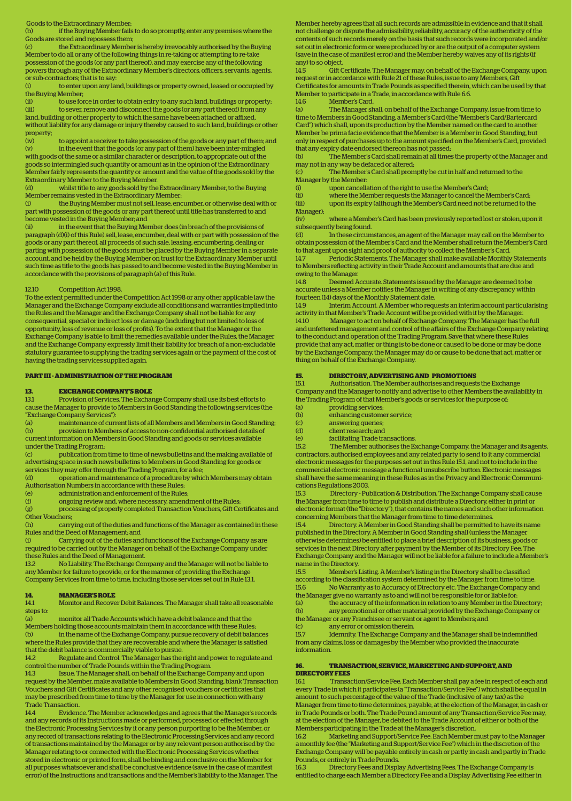Goods to the Extraordinary Member;

(b) if the Buying Member fails to do so promptly, enter any premises where the Goods are stored and repossess them;

(c) the Extraordinary Member is hereby irrevocably authorised by the Buying Member to do all or any of the following things in re-taking or attempting to re-take possession of the goods (or any part thereof), and may exercise any of the following powers through any of the Extraordinary Member's directors, officers, servants, agents, or sub-contractors; that is to say:<br>(i) to enter upon any lar

(i) to enter upon any land, buildings or property owned, leased or occupied by the Buying Member;

(ii) to use force in order to obtain entry to any such land, buildings or property;<br>(iii) to sever, remove and disconnect the goods (or any part thereof) from any to sever, remove and disconnect the goods (or any part thereof) from any land, building or other property to which the same have been attached or affixed, without liability for any damage or injury thereby caused to such land, buildings or other property;<br>(iv)

to appoint a receiver to take possession of the goods or any part of them; and (v) in the event that the goods (or any part of them) have been inter-mingled with goods of the same or a similar character or description, to appropriate out of the goods so intermingled such quantity or amount as in the opinion of the Extraordinary Member fairly represents the quantity or amount and the value of the goods sold by the Extraordinary Member to the Buying Member.

(d) whilst title to any goods sold by the Extraordinary Member, to the Buying Member remains vested in the Extraordinary Member:

(i) the Buying Member must not sell, lease, encumber, or otherwise deal with or part with possession of the goods or any part thereof until title has transferred to and become vested in the Buying Member; and<br>(ii) in the event that the Buying Mem

in the event that the Buying Member does (in breach of the provisions of paragraph (d)(i) of this Rule) sell, lease, encumber, deal with or part with possession of the goods or any part thereof, all proceeds of such sale, leasing, encumbering, dealing or parting with possession of the goods must be placed by the Buying Member in a separate account, and be held by the Buying Member on trust for the Extraordinary Member until such time as title to the goods has passed to and become vested in the Buying Member in accordance with the provisions of paragraph (a) of this Rule.

### 12.10 Competition Act 1998.

To the extent permitted under the Competition Act 1998 or any other applicable law the Manager and the Exchange Company exclude all conditions and warranties implied into the Rules and the Manager and the Exchange Company shall not be liable for any consequential, special or indirect loss or damage (including but not limited to loss of opportunity, loss of revenue or loss of profits). To the extent that the Manager or the Exchange Company is able to limit the remedies available under the Rules, the Manager and the Exchange Company expressly limit their liability for breach of a non-excludable statutory guarantee to supplying the trading services again or the payment of the cost of having the trading services supplied again.

### **PART III - ADMINISTRATION OF THE PROGRAM**

### **13. EXCHANGE COMPANY'S ROLE**

13.1 Provision of Services. The Exchange Company shall use its best efforts to cause the Manager to provide to Members in Good Standing the following services (the "Exchange Company Services"):

(a) maintenance of current lists of all Members and Members in Good Standing; (b) provision to Members of access to non-confidential authorised details of current information on Members in Good Standing and goods or services available under the Trading Program;

(c) publication from time to time of news bulletins and the making available of advertising space in such news bulletins to Members in Good Standing for goods or services they may offer through the Trading Program, for a fee;

(d) operation and maintenance of a procedure by which Members may obtain Authorisation Numbers in accordance with these Rules;

(e) administration and enforcement of the Rules;

ongoing review and, where necessary, amendment of the Rules;

(g) processing of properly completed Transaction Vouchers, Gift Certificates and Other Vouchers;

(h) carrying out of the duties and functions of the Manager as contained in these Rules and the Deed of Management; and

(i) Carrying out of the duties and functions of the Exchange Company as are required to be carried out by the Manager on behalf of the Exchange Company under these Rules and the Deed of Management.

13.2 No Liability. The Exchange Company and the Manager will not be liable to any Member for failure to provide, or for the manner of providing the Exchange Company Services from time to time, including those services set out in Rule 13.1.

# **14. MANAGER'S ROLE**<br>14.1 Monitor and Recove

14.1 Monitor and Recover Debit Balances. The Manager shall take all reasonable steps to:

(a) monitor all Trade Accounts which have a debit balance and that the Members holding those accounts maintain them in accordance with these Rules; (b) in the name of the Exchange Company, pursue recovery of debit balances where the Rules provide that they are recoverable and where the Manager is satisfied that the debit balance is commercially viable to pursue.

14.2 Regulate and Control. The Manager has the right and power to regulate and control the number of Trade Pounds within the Trading Program.

14.3 Issue. The Manager shall, on behalf of the Exchange Company and upon request by the Member, make available to Members in Good Standing, blank Transaction Vouchers and Gift Certificates and any other recognised vouchers or certificates that may be prescribed from time to time by the Manager for use in connection with any Trade Transaction.

14.4 Evidence. The Member acknowledges and agrees that the Manager's records and any records of its Instructions made or performed, processed or effected through the Electronic Processing Services by it or any person purporting to be the Member, or any record of transactions relating to the Electronic Processing Services and any record of transactions maintained by the Manager or by any relevant person authorised by the Manager relating to or connected with the Electronic Processing Services whether stored in electronic or printed form, shall be binding and conclusive on the Member for all purposes whatsoever and shall be conclusive evidence (save in the case of manifest error) of the Instructions and transactions and the Member's liability to the Manager. The Member hereby agrees that all such records are admissible in evidence and that it shall not challenge or dispute the admissibility, reliability, accuracy of the authenticity of the contents of such records merely on the basis that such records were incorporated and/or set out in electronic form or were produced by or are the output of a computer system (save in the case of manifest error) and the Member hereby waives any of its rights (if any) to so object.

14.5 Gift Certificate. The Manager may, on behalf of the Exchange Company, upon request or in accordance with Rule 21 of these Rules, issue to any Members, Gi Certificates for amounts in Trade Pounds as specified therein, which can be used by that Member to participate in a Trade, in accordance with Rule 6.6.

14.6 Member's Card.<br>(a) The Manager sh

(a) The Manager shall, on behalf of the Exchange Company, issue from time to time to Members in Good Standing, a Member's Card (the "Member's Card/Bartercard Card") which shall, upon its production by the Member named on the card to another Member be prima facie evidence that the Member is a Member in Good Standing, but only in respect of purchases up to the amount specified on the Member's Card, provided that any expiry date endorsed thereon has not passed;<br>(b) The Member's Card shall remain at all time

The Member's Card shall remain at all times the property of the Manager and may not in any way be defaced or altered;

(c) The Member's Card shall promptly be cut in half and returned to the Manager by the Member:

(i) upon cancellation of the right to use the Member's Card;<br>(ii) where the Member requests the Manager to cancel the N where the Member requests the Manager to cancel the Member's Card; (iii) upon its expiry (although the Member's Card need not be returned to the

Manager); (iv) where a Member's Card has been previously reported lost or stolen, upon it subsequently being found.<br>(d) ln these circum

In these circumstances, an agent of the Manager may call on the Member to obtain possession of the Member's Card and the Member shall return the Member's Card to that agent upon sight and proof of authority to collect the Member's Card.

14.7 Periodic Statements. The Manager shall make available Monthly Statements to Members reflecting activity in their Trade Account and amounts that are due and owing to the Manager.

14.8 Deemed Accurate. Statements issued by the Manager are deemed to be accurate unless a Member notifies the Manager in writing of any discrepancy within fourteen (14) days of the Monthly Statement date.

14.9 Interim Account. A Member who requests an interim account particularising activity in that Member's Trade Account will be provided with it by the Manager. 14.10 Manager to act on behalf of Exchange Company. The Manager has the full and unfettered management and control of the affairs of the Exchange Company relating to the conduct and operation of the Trading Program. Save that where these Rules provide that any act, matter or thing is to be done or caused to be done or may be done by the Exchange Company, the Manager may do or cause to be done that act, matter or

## **15. DIRECTORY, ADVERTISING AND PROMOTIONS**

15.1 Authorisation. The Member authorises and requests the Exchange Company and the Manager to notify and advertise to other Members the availability in the Trading Program of that Member's goods or services for the purpose of:

(a) providing services;

thing on behalf of the Exchange Company.

- (b) enhancing customer service;
- (c) answering queries; (d) client research; and
- (e) facilitating Trade transactions.
	-

15.2 The Member authorises the Exchange Company, the Manager and its agents, contractors, authorised employees and any related party to send to it any commercial electronic messages for the purposes set out in this Rule 15.1, and not to include in the commercial electronic message a functional unsubscribe button. Electronic messages shall have the same meaning in these Rules as in the Privacy and Electronic Communications Regulations 2003.

15.3 Directory - Publication & Distribution. The Exchange Company shall cause the Manager from time to time to publish and distribute a Directory, either in print or electronic format (the "Directory"), that contains the names and such other information concerning Members that the Manager from time to time determines.

15.4 Directory. A Member in Good Standing shall be permitted to have its name published in the Directory. A Member in Good Standing shall (unless the Manager otherwise determines) be entitled to place a brief description of its business, goods or services in the next Directory after payment by the Member of its Directory Fee. The Exchange Company and the Manager will not be liable for a failure to include a Member's name in the Directory.<br>15.5 Member's

15.5 Member's Listing. A Member's listing in the Directory shall be classified according to the classification system determined by the Manager from time to time.<br>15.6 No Warranty as to Accuracy of Directory etc. The Exchange Company and 15.6 No Warranty as to Accuracy of Directory etc. The Exchange Company and the Manager give no warranty as to and will not be responsible for or liable for:

(a) the accuracy of the information in relation to any Member in the Directory; (b) any promotional or other material provided by the Exchange Company or the Manager or any Franchisee or servant or agent to Members; and

(c) any error or omission therein.

15.7 Idemnity. The Exchange Company and the Manager shall be indemnified from any claims, loss or damages by the Member who provided the inaccurate information.

## **16. TRANSACTION, SERVICE, MARKETING AND SUPPORT, AND DIRECTORY FEES**

16.1 Transaction/Service Fee. Each Member shall pay a fee in respect of each and every Trade in which it participates (a "Transaction/Service Fee") which shall be equal in amount to such percentage of the value of the Trade (inclusive of any tax) as the Manager from time to time determines, payable, at the election of the Manager, in cash or in Trade Pounds or both. The Trade Pound amount of any Transaction/Service Fee may, at the election of the Manager, be debited to the Trade Account of either or both of the Members participating in the Trade at the Manager's discretion.

16.2 Marketing and Support/Service Fee. Each Member must pay to the Manager a monthly fee (the "Marketing and Support/Service Fee") which in the discretion of the Exchange Company will be payable entirely in cash or partly in cash and partly in Trade Pounds, or entirely in Trade Pounds.

16.3 Directory Fees and Display Advertising Fees. The Exchange Company is entitled to charge each Member a Directory Fee and a Display Advertising Fee either in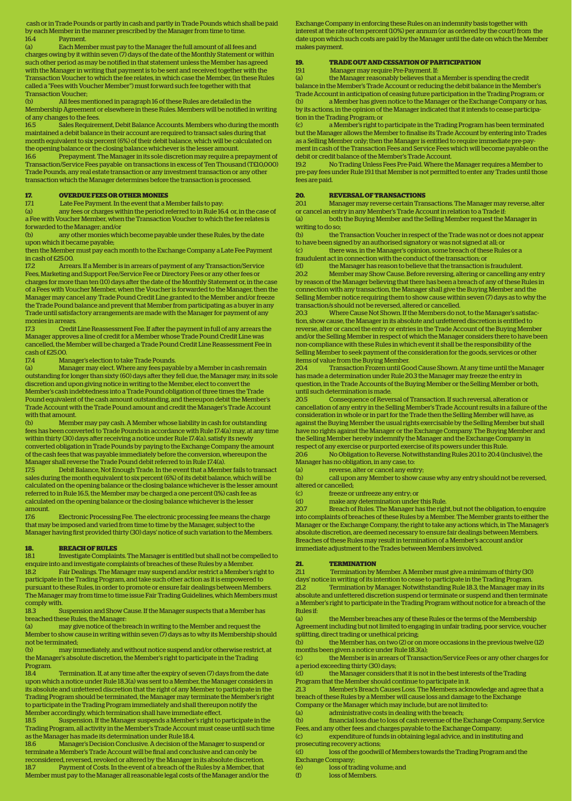cash or in Trade Pounds or partly in cash and partly in Trade Pounds which shall be paid by each Member in the manner prescribed by the Manager from time to time. 16.4 Payment.

(a) Each Member must pay to the Manager the full amount of all fees and charges owing by it within seven (7) days of the date of the Monthly Statement or within such other period as may be notified in that statement unless the Member has agreed with the Manager in writing that payment is to be sent and received together with the Transaction Voucher to which the fee relates, in which case the Member, (in these Rules called a "Fees with Voucher Member'') must forward such fee together with that Transaction Voucher;

(b) All fees mentioned in paragraph 16 of these Rules are detailed in the Membership Agreement or elsewhere in these Rules. Members will be notified in writing of any changes to the fees.<br>16.5 Sales Requirer

Sales Requirement, Debit Balance Accounts. Members who during the month maintained a debit balance in their account are required to transact sales during that month equivalent to six percent (6%) of their debit balance, which will be calculated on the opening balance or the closing balance whichever is the lesser amount.<br>166 Prepayment The Manager in its sole discretion may require a pr

Prepayment. The Manager in its sole discretion may require a prepayment of Transaction/Service Fees payable on transactions in excess of Ten Thousand (T£10,000) Trade Pounds, any real estate transaction or any investment transaction or any other transaction which the Manager determines before the transaction is processed.

### **17. OVERDUE FEES OR OTHER MONIES**

17.1 Late Fee Payment. In the event that a Member fails to pay

(a) any fees or charges within the period referred to in Rule 16.4 or, in the case of a Fee with Voucher Member, when the Transaction Voucher to which the fee relates is forwarded to the Manager; and/or

any other monies which become payable under these Rules, by the date upon which it became payable;

then the Member must pay each month to the Exchange Company a Late Fee Payment in cash of £25.00.

17.2 Arrears. If a Member is in arrears of payment of any Transaction/Service Fees, Marketing and Support Fee/Service Fee or Directory Fees or any other fees or charges for more than ten (10) days after the date of the Monthly Statement or, in the case of a Fees with Voucher Member, when the Voucher is forwarded to the Manager, then the Manager may cancel any Trade Pound Credit Line granted to the Member and/or freeze the Trade Pound balance and prevent that Member from participating as a buyer in any Trade until satisfactory arrangements are made with the Manager for payment of any monies in arrears.

17.3 Credit Line Reassessment Fee. If after the payment in full of any arrears the Manager approves a line of credit for a Member whose Trade Pound Credit Line was cancelled, the Member will be charged a Trade Pound Credit Line Reassessment Fee in cash of £25.00<br>17.4 Ma

17.4 Manager's election to take Trade Pounds.

(a) Manager may elect. Where any fees payable by a Member in cash remain outstanding for longer than sixty (60) days after they fell due, the Manager may, in its sole discretion and upon giving notice in writing to the Member, elect to convert the Member's cash indebtedness into a Trade Pound obligation of three times the Trade Pound equivalent of the cash amount outstanding, and thereupon debit the Member's Trade Account with the Trade Pound amount and credit the Manager's Trade Account with that amount.<br>(b) Memb

(b) Member may pay cash. A Member whose liability in cash for outstanding fees has been converted to Trade Pounds in accordance with Rule 17.4(a) may, at any time within thirty (30) days after receiving a notice under Rule 17.4(a), satisfy its newly converted obligation in Trade Pounds by paying to the Exchange Company the amount of the cash fees that was payable immediately before the conversion, whereupon the Manager shall reverse the Trade Pound debit referred to in Rule 17.4(a).

17.5 Debit Balance, Not Enough Trade. In the event that a Member fails to transact sales during the month equivalent to six percent (6%) of its debit balance, which will be calculated on the opening balance or the closing balance whichever is the lesser amount referred to in Rule 16.5, the Member may be charged a one percent (1%) cash fee as calculated on the opening balance or the closing balance whichever is the lesser amount.

17.6 Electronic Processing Fee. The electronic processing fee means the charge that may be imposed and varied from time to time by the Manager, subject to the Manager having first provided thirty (30) days' notice of such variation to the Members.

## **18. BREACH OF RULES**<br>18.1 Investigate Complair

18.1 Investigate Complaints. The Manager is entitled but shall not be compelled to enquire into and investigate complaints of breaches of these Rules by a Member.

Fair Dealings. The Manager may suspend and/or restrict a Member's right to participate in the Trading Program, and take such other action as it is empowered to pursuant to these Rules, in order to promote or ensure fair dealings between Members. The Manager may from time to time issue Fair Trading Guidelines, which Members must comply with.

18.3 Suspension and Show Cause. If the Manager suspects that a Member has breached these Rules, the Manager:

(a) may give notice of the breach in writing to the Member and request the Member to show cause in writing within seven (7) days as to why its Membership should not be terminated;

(b) may immediately, and without notice suspend and/or otherwise restrict, at the Manager's absolute discretion, the Member's right to participate in the Trading Program.

18.4 Termination. If, at any time after the expiry of seven (7) days from the date upon which a notice under Rule 18.3(a) was sent to a Member, the Manager considers in its absolute and unfettered discretion that the right of any Member to participate in the Trading Program should be terminated, the Manager may terminate the Member's right to participate in the Trading Program immediately and shall thereupon notify the Member accordingly, which termination shall have immediate effect.

18.5 Suspension. If the Manager suspends a Member's right to participate in the Trading Program, all activity in the Member's Trade Account must cease until such time as the Manager has made its determination under Rule 18.4.

18.6 Manager's Decision Conclusive. A decision of the Manager to suspend or terminate a Member's Trade Account will be final and conclusive and can only be reconsidered, reversed, revoked or altered by the Manager in its absolute discretion. 18.7 Payment of Costs. In the event of a breach of the Rules by a Member, that Member must pay to the Manager all reasonable legal costs of the Manager and/or the Exchange Company in enforcing these Rules on an indemnity basis together with interest at the rate of ten percent (10%) per annum (or as ordered by the court) from the date upon which such costs are paid by the Manager until the date on which the Member makes payment.

## **19. TRADE OUT AND CESSATION OF PARTICIPATION**

19.1 Manager may require Pre-Payment. If:

(a) the Manager reasonably believes that a Member is spending the credit balance in the Member's Trade Account or reducing the debit balance in the Member's Trade Account in anticipation of ceasing future participation in the Trading Program; or (b) a Member has given notice to the Manager or the Exchange Company or has, by its actions, in the opinion of the Manager indicated that it intends to cease participation in the Trading Program; or

(c) a Member's right to participate in the Trading Program has been terminated but the Manager allows the Member to finalise its Trade Account by entering into Trades as a Selling Member only; then the Manager is entitled to require immediate pre-payment in cash of the Transaction Fees and Service Fees which will become payable on the debit or credit balance of the Member's Trade Account.

19.2 No Trading Unless Fees Pre-Paid. Where the Manager requires a Member to pre-pay fees under Rule 19.1 that Member is not permitted to enter any Trades until those fees are paid.

### **20. REVERSAL OF TRANSACTIONS**

20.1 Manager may reverse certain Transactions. The Manager may reverse, alter or cancel an entry in any Member's Trade Account in relation to a Trade if: (a) both the Buying Member and the Selling Member request the Manager in

writing to do so;<br>(b) the ' the Transaction Voucher in respect of the Trade was not or does not appear

to have been signed by an authorised signatory or was not signed at all; or

(c) there was, in the Manager's opinion, some breach of these Rules or a fraudulent act in connection with the conduct of the transaction; or

(d) the Manager has reason to believe that the transaction is fraudulent.<br>202 Member may Show Cause Before reversing altering or cancelling an 20.2 Member may Show Cause. Before reversing, altering or cancelling any entry by reason of the Manager believing that there has been a breach of any of these Rules in connection with any transaction, the Manager shall give the Buying Member and the Selling Member notice requiring them to show cause within seven (7) days as to why the transaction/s should not be reversed, altered or cancelled.

20.3 Where Cause Not Shown. If the Members do not, to the Manager's satisfaction, show cause, the Manager in its absolute and unfettered discretion is entitled to reverse, alter or cancel the entry or entries in the Trade Account of the Buying Member and/or the Selling Member in respect of which the Manager considers there to have been non-compliance with these Rules in which event it shall be the responsibility of the Selling Member to seek payment of the consideration for the goods, services or other items of value from the Buying Member.

20.4 Transaction Frozen until Good Cause Shown. At any time until the Manager has made a determination under Rule 20.3 the Manager may freeze the entry in question, in the Trade Accounts of the Buying Member or the Selling Member or both, until such determination is made.

20.5 Consequence of Reversal of Transaction. If such reversal, alteration or cancellation of any entry in the Selling Member's Trade Account results in a failure of the consideration in whole or in part for the Trade then the Selling Member will have, as against the Buying Member the usual rights exercisable by the Selling Member but shall have no rights against the Manager or the Exchange Company. The Buying Member and the Selling Member hereby indemnify the Manager and the Exchange Company in respect of any exercise or purported exercise of its powers under this Rule.

20.6 No Obligation to Reverse. Notwithstanding Rules 20.1 to 20.4 (inclusive), the Manager has no obligation, in any case, to:

(a) reverse, alter or cancel any entry;

(b) call upon any Member to show cause why any entry should not be reversed, altered or cancelled;<br>(c) freeze or

(c) freeze or unfreeze any entry; or<br>(d) make any determination under

make any determination under this Rule.

20.7 Breach of Rules. The Manager has the right, but not the obligation, to enquire into complaints of breaches of these Rules by a Member. The Member grants to either the Manager or the Exchange Company, the right to take any actions which, in The Manager's absolute discretion, are deemed necessary to ensure fair dealings between Members. Breaches of these Rules may result in termination of a Member's account and/or immediate adjustment to the Trades between Members involved.

## **21. TERMINATION**<br>21.1 Termination by

21.1 Termination by Member. A Member must give a minimum of thirty (30)

days' notice in writing of its intention to cease to participate in the Trading Program. 21.2 Termination by Manager. Notwithstanding Rule 18.3, the Manager may in its absolute and unfettered discretion suspend or terminate or suspend and then terminate a Member's right to participate in the Trading Program without notice for a breach of the Rules if:

(a) the Member breaches any of these Rules or the terms of the Membership Agreement including but not limited to engaging in unfair trading, poor service, voucher splitting, direct trading or unethical pricing;

(b) the Member has, on two (2) or on more occasions in the previous twelve (12) months been given a notice under Rule 18.3(a);

(c) the Member is in arrears of Transaction/Service Fees or any other charges for a period exceeding thirty (30) days;

(d) the Manager considers that it is not in the best interests of the Trading

Program that the Member should continue to participate in it. 21.3 Member's Breach Causes Loss. The Members acknowledge and agree that a breach of these Rules by a Member will cause loss and damage to the Exchange Company or the Manager which may include, but are not limited to:

(a) administrative costs in dealing with the breach;

(b) financial loss due to loss of cash revenue of the Exchange Company, Service

Fees, and any other fees and charges payable to the Exchange Company;

(c) expenditure of funds in obtaining legal advice, and in instituting and prosecuting recovery actions;

(d) loss of the goodwill of Members towards the Trading Program and the Exchange Company;

(e) loss of trading volume; and<br>
(f) loss of Members

loss of Members.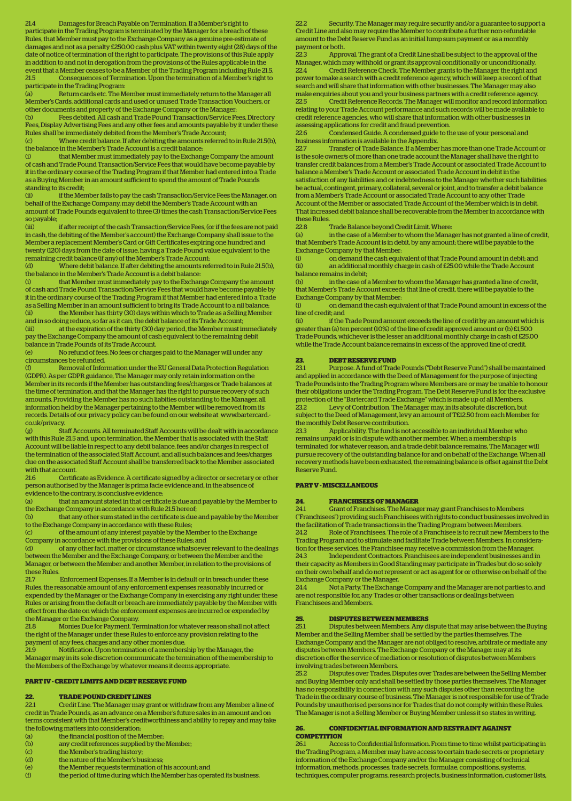21.4 Damages for Breach Payable on Termination. If a Member's right to participate in the Trading Program is terminated by the Manager for a breach of these Rules, that Member must pay to the Exchange Company as a genuine pre-estimate of damages and not as a penalty £250.00 cash plus VAT within twenty eight (28) days of the date of notice of termination of the right to participate. The provisions of this Rule apply in addition to and not in derogation from the provisions of the Rules applicable in the event that a Member ceases to be a Member of the Trading Program including Rule 21.5. 21.5 Consequences of Termination. Upon the termination of a Member's right to participate in the Trading Program:

(a) Return cards etc. The Member must immediately return to the Manager all Member's Cards, additional cards and used or unused Trade Transaction Vouchers, or other documents and property of the Exchange Company or the Manager;

(b) Fees debited. All cash and Trade Pound Transaction/Service Fees, Directory Fees, Display Advertising Fees and any other fees and amounts payable by it under these Rules shall be immediately debited from the Member's Trade Account; (c) Where credit balance. If after debiting the amounts referred to in Rule 21.5(b),

the balance in the Member's Trade Account is a credit balance:<br>(i) that Member must immediately nay to the Exchange

that Member must immediately pay to the Exchange Company the amount of cash and Trade Pound Transaction/Service Fees that would have become payable by it in the ordinary course of the Trading Program if that Member had entered into a Trade as a Buying Member in an amount sufficient to spend the amount of Trade Pounds standing to its credit;<br>(ii) if the Mer

if the Member fails to pay the cash Transaction/Service Fees the Manager, on behalf of the Exchange Company, may debit the Member's Trade Account with an amount of Trade Pounds equivalent to three (3) times the cash Transaction/Service Fees so payable;

if after receipt of the cash Transaction/Service Fees, (or if the fees are not paid in cash, the debiting of the Member's account) the Exchange Company shall issue to the Member a replacement Member's Card or Gift Certificates expiring one hundred and twenty (120) days from the date of issue, having a Trade Pound value equivalent to the remaining credit balance (if any) of the Member's Trade Account;

(d) Where debit balance. If after debiting the amounts referred to in Rule 21.5(b), the balance in the Member's Trade Account is a debit balance:

(i) that Member must immediately pay to the Exchange Company the amount of cash and Trade Pound Transaction/Service Fees that would have become payable by it in the ordinary course of the Trading Program if that Member had entered into a Trade as a Selling Member in an amount sufficient to bring its Trade Account to a nil balance; (ii) the Member has thirty (30) days within which to Trade as a Selling Member

and in so doing reduce, so far as it can, the debit balance of its Trade Account; (iii) at the expiration of the thirty (30) day period, the Member must immediately pay the Exchange Company the amount of cash equivalent to the remaining debit balance in Trade Pounds of its Trade Account.

(e) No refund of fees. No fees or charges paid to the Manager will under any circumstances be refunded.

(f) Removal of Information under the EU General Data Protection Regulation (GDPR). As per GDPR guidance, The Manager may only retain information on the Member in its records if the Member has outstanding fees/charges or Trade balances at the time of termination, and that the Manager has the right to pursue recovery of such amounts. Providing the Member has no such liabities outstanding to the Manager, all information held by the Manager pertaining to the Member will be removed from its records. Details of our privacy policy can be found on our website at www.bartercard. co.uk/privacy.

(g) Staff Accounts. All terminated Staff Accounts will be dealt with in accordance with this Rule 21.5 and, upon termination, the Member that is associated with the Staff Account will be liable in respect to any debit balance, fees and/or charges in respect of the termination of the associated Staff Account, and all such balances and fees/charges due on the associated Staff Account shall be transferred back to the Member associated with that account.

21.6 Certificate as Evidence. A certificate signed by a director or secretary or other person authorised by the Manager is prima facie evidence and, in the absence of evidence to the contrary, is conclusive evidence:<br>(a) that an amount stated in that certifical

that an amount stated in that certificate is due and payable by the Member to the Exchange Company in accordance with Rule 21.5 hereof;

(b) that any other sum stated in the certificate is due and payable by the Member to the Exchange Company in accordance with these Rules;

(c) of the amount of any interest payable by the Member to the Exchange Company in accordance with the provisions of these Rules; and

(d) of any other fact, matter or circumstance whatsoever relevant to the dealings between the Member and the Exchange Company, or between the Member and the Manager, or between the Member and another Member, in relation to the provisions of these Rules.<br>21.7

21.7 Enforcement Expenses. If a Member is in default or in breach under these Rules, the reasonable amount of any enforcement expenses reasonably incurred or expended by the Manager or the Exchange Company in exercising any right under these Rules or arising from the default or breach are immediately payable by the Member with effect from the date on which the enforcement expenses are incurred or expended by the Manager or the Exchange Company.<br>21.8 Monies Due for Payment. Te

21.8 Monies Due for Payment. Termination for whatever reason shall not affect the right of the Manager under these Rules to enforce any provision relating to the payment of any fees, charges and any other monies due.

21.9 Notification. Upon termination of a membership by the Manager, the Manager may in its sole discretion communicate the termination of the membership to the Members of the Exchange by whatever means it deems appropriate.

### **PART IV - CREDIT LIMITS AND DEBT RESERVE FUND**

### **22. TRADE POUND CREDIT LINES**

22.1 Credit Line. The Manager may grant or withdraw from any Member a line of credit in Trade Pounds, as an advance on a Member's future sales in an amount and on terms consistent with that Member's creditworthiness and ability to repay and may take the following matters into consideration:

- (a) the financial position of the Member;
- (b) any credit references supplied by the Member;
- (c) the Member's trading history;
- (d) the nature of the Member's business;
- (e) the Member requests termination of his account; and
- (f) the period of time during which the Member has operated its business.

Security. The Manager may require security and/or a guarantee to support a Credit Line and also may require the Member to contribute a further non-refundable amount to the Debt Reserve Fund as an initial lump sum payment or as a monthly payment or both.

22.3 Approval. The grant of a Credit Line shall be subject to the approval of the Manager, which may withhold or grant its approval conditionally or unconditionally. 22.4 Credit Reference Check. The Member grants to the Manager the right and power to make a search with a credit reference agency, which will keep a record of that search and will share that information with other businesses. The Manager may also make enquiries about you and your business partners with a credit reference agency.<br>225 Credit Beference Becords The Manager will monitor and record information 22.5 Credit Reference Records. The Manager will monitor and record information relating to your Trade Account performance and such records will be made available to credit reference agencies, who will share that information with other businesses in

assessing applications for credit and fraud prevention. 22.6 Condensed Guide. A condensed guide to the use of your personal and

business information is available in the Appendix.

22.7 Transfer of Trade Balance. If a Member has more than one Trade Account or is the sole owner/s of more than one trade account the Manager shall have the right to transfer credit balances from a Member's Trade Account or associated Trade Account to balance a Member's Trade Account or associated Trade Account in debit in the satisfaction of any liabilities and or indebtedness to the Manager whether such liabilities be actual, contingent, primary, collateral, several or joint, and to transfer a debit balance from a Member's Trade Account or associated Trade Account to any other Trade Account of the Member or associated Trade Account of the Member which is in debit. That increased debit balance shall be recoverable from the Member in accordance with these Rules.

22.8 Trade Balance beyond Credit Limit. Where:<br>(a) in the case of a Member to whom the Manas

in the case of a Member to whom the Manager has not granted a line of credit, that Member's Trade Account is in debit, by any amount; there will be payable to the Exchange Company by that Member:<br>(i) on demand the cash equi

(i) on demand the cash equivalent of that Trade Pound amount in debit; and (ii) an additional monthly charge in cash of £25.00 while the Trade Account balance remains in debit;

(b) in the case of a Member to whom the Manager has granted a line of credit, that Member's Trade Account exceeds that line of credit, there will be payable to the Exchange Company by that Member:

(i) on demand the cash equivalent of that Trade Pound amount in excess of the line of credit; and

(ii) if the Trade Pound amount exceeds the line of credit by an amount which is greater than (a) ten percent (10%) of the line of credit approved amount or (b) £1,500 Trade Pounds, whichever is the lesser an additional monthly charge in cash of £25.00 while the Trade Account balance remains in excess of the approved line of credit.

## **23. DEBT RESERVE FUND**

23.1 Purpose. A fund of Trade Pounds ("Debt Reserve Fund") shall be maintained and applied in accordance with the Deed of Management for the purpose of injecting Trade Pounds into the Trading Program where Members are or may be unable to honour their obligations under the Trading Program. The Debt Reserve Fund is for the exclusive protection of the "Bartercard Trade Exchange" which is made up of all Members. 23.2 Levy of Contribution. The Manager may, in its absolute discretion, but subject to the Deed of Management, levy an amount of T£12.50 from each Member for the monthly Debt Reserve contribution.

23.3 Applicability. The fund is not accessible to an individual Member who remains unpaid or is in dispute with another member. When a membership is terminated for whatever reason, and a trade debit balance remains, The Manager will pursue recovery of the outstanding balance for and on behalf of the Exchange. When all recovery methods have been exhausted, the remaining balance is offset against the Debt Reserve Fund.

## **PART V - MISCELLANEOUS**

### **24. FRANCHISEES OF MANAGER**

24.1 Grant of Franchises. The Manager may grant Franchises to Members ("Franchisees") providing such Franchisees with rights to conduct businesses involved in the facilitation of Trade transactions in the Trading Program between Members. 24.2 Role of Franchisees. The role of a Franchisee is to recruit new Members to the Trading Program and to stimulate and facilitate Trade between Members. In consideration for these services, the Franchisee may receive a commission from the Manager. 24.3 Independent Contractors. Franchisees are independent businesses and in their capacity as Members in Good Standing may participate in Trades but do so solely on their own behalf and do not represent or act as agent for or otherwise on behalf of the Exchange Company or the Manager.

24.4 Not a Party. The Exchange Company and the Manager are not parties to, and are not responsible for, any Trades or other transactions or dealings between Franchisees and Members.

## **25. DISPUTES BETWEEN MEMBERS**

25.1 Disputes between Members. Any dispute that may arise between the Buying Member and the Selling Member shall be settled by the parties themselves. The Exchange Company and the Manager are not obliged to resolve, arbitrate or mediate any disputes between Members. The Exchange Company or the Manager may at its discretion offer the service of mediation or resolution of disputes between Members involving trades between Members.

25.2 Disputes over Trades. Disputes over Trades are between the Selling Member and Buying Member only and shall be settled by those parties themselves. The Manager has no responsibility in connection with any such disputes other than recording the Trade in the ordinary course of business. The Manager is not responsible for use of Trade Pounds by unauthorised persons nor for Trades that do not comply within these Rules. The Manager is not a Selling Member or Buying Member unless it so states in writing.

### **26. CONFIDENTIAL INFORMATION AND RESTRAINT AGAINST COMPETITION**

26.1 Access to Confidential Information. From time to time whilst participating in the Trading Program, a Member may have access to certain trade secrets or proprietary information of the Exchange Company and/or the Manager consisting of technical information, methods, processes, trade secrets, formulae, compositions, systems, techniques, computer programs, research projects, business information, customer lists,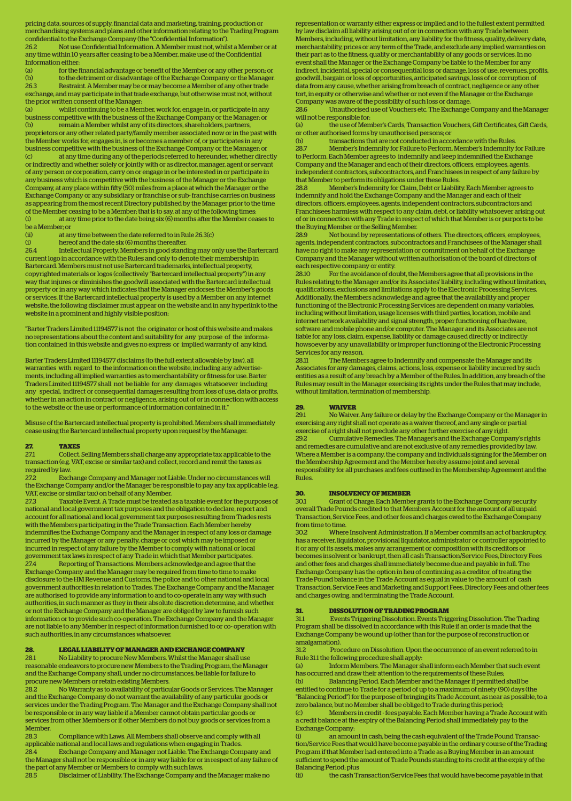pricing data, sources of supply, financial data and marketing, training, production or merchandising systems and plans and other information relating to the Trading Program confidential to the Exchange Company (the "Confidential Information").

26.2 Not use Confidential Information. A Member must not, whilst a Member or at any time within 10 years after ceasing to be a Member, make use of the Confidential Information either:

(a) for the financial advantage or benefit of the Member or any other person; or (b) to the detriment or disadvantage of the Exchange Company or the Manager. 26.3 Restraint. A Member may be or may become a Member of any other trade exchange, and may participate in that trade exchange, but otherwise must not, without the prior written consent of the Manager:<br>(a) whilst continuing to be a Mem

(a) whilst continuing to be a Member, work for, engage in, or participate in any business competitive with the business of the Exchange Company or the Manager; or (b) remain a Member whilst any of its directors, shareholders, partners. (b) remain a Member whilst any of its directors, shareholders, partners, proprietors or any other related party/family member associated now or in the past with the Member works for, engages in, is or becomes a member of, or participates in any business competitive with the business of the Exchange Company or the Manager; or<br>(c) at any time during any of the periods referred to be reunder whether directions at any time during any of the periods referred to hereunder, whether directly or indirectly and whether solely or jointly with or as director, manager, agent or servant of any person or corporation, carry on or engage in or be interested in or participate in any business which is competitive with the business of the Manager or the Exchange Company, at any place within fiy (50) miles from a place at which the Manager or the Exchange Company or any subsidiary or franchise or sub- franchise carries on business as appearing from the most recent Directory published by the Manager prior to the time of the Member ceasing to be a Member; that is to say, at any of the following times:<br>(i) at any time prior to the date being six (6) months after the Member cea at any time prior to the date being six (6) months after the Member ceases to

be a Member; or<br>(ii) at an (ii) at any time between the date referred to in Rule 26.3(c)<br>(i) hereof and the date six (6) months thereafter.

hereof and the date six (6) months thereafter.

26.4 Intellectual Property. Members in good standing may only use the Bartercard current logo in accordance with the Rules and only to denote their membership in Bartercard. Members must not use Bartercard trademarks, intellectual property, copyrighted materials or logos (collectively "Bartercard intellectual property") in any way that injures or diminishes the goodwill associated with the Bartercard intellectual property or in any way which indicates that the Manager endorses the Member's goods or services. If the Bartercard intellectual property is used by a Member on any internet website, the following disclaimer must appear on the website and in any hyperlink to the website in a prominent and highly visible position:

"Barter Traders Limited 11194577 is not the originator or host of this website and makes no representations about the content and suitability for any purpose of the information contained in this website and gives no express or implied warranty of any kind.

Barter Traders Limited 11194577 disclaims (to the full extent allowable by law), all warranties with regard to the information on the website, including any advertisements, including all implied warranties as to merchantability or fitness for use. Barter Traders Limited 11194577 shall not be liable for any damages whatsoever including any special, indirect or consequential damages resulting from loss of use, data or profits, whether in an action in contract or negligence, arising out of or in connection with access to the website or the use or performance of information contained in it."

Misuse of the Bartercard intellectual property is prohibited. Members shall immediately cease using the Bartercard intellectual property upon request by the Manager.

## **27. TAXES**<br>27.1 **Collect.**

27.1 Collect. Selling Members shall charge any appropriate tax applicable to the transaction (e.g. VAT, excise or similar tax) and collect, record and remit the taxes as required by law.

27.2 Exchange Company and Manager not Liable. Under no circumstances will the Exchange Company and/or the Manager be responsible to pay any tax applicable (e.g. VAT, excise or similar tax) on behalf of any Member.

27.3 Taxable Event. A Trade must be treated as a taxable event for the purposes of national and local government tax purposes and the obligation to declare, report and account for all national and local government tax purposes resulting from Trades rests with the Members participating in the Trade Transaction. Each Member hereby indemnifies the Exchange Company and the Manager in respect of any loss or damage incurred by the Manager or any penalty, charge or cost which may be imposed or incurred in respect of any failure by the Member to comply with national or local government tax laws in respect of any Trade in which that Member participates.

27.4 Reporting of Transactions. Members acknowledge and agree that the Exchange Company and the Manager may be required from time to time to make disclosure to the HM Revenue and Customs, the police and to other national and local government authorities in relation to Trades. The Exchange Company and the Manager are authorised to provide any information to and to co-operate in any way with such authorities, in such manner as they in their absolute discretion determine, and whether or not the Exchange Company and the Manager are obliged by law to furnish such information or to provide such co-operation. The Exchange Company and the Manager are not liable to any Member in respect of information furnished to or co- operation with such authorities, in any circumstances whatsoever.

## **28. LEGAL LIABILITY OF MANAGER AND EXCHANGE COMPANY**

28.1 No Liability to procure New Members. Whilst the Manager shall use reasonable endeavors to procure new Members to the Trading Program, the Manager and the Exchange Company shall, under no circumstances, be liable for failure to procure new Members or retain existing Members.

28.2 No Warranty as to availability of particular Goods or Services. The Manager and the Exchange Company do not warrant the availability of any particular goods or services under the Trading Program. The Manager and the Exchange Company shall not be responsible or in any way liable if a Member cannot obtain particular goods or services from other Members or if other Members do not buy goods or services from a Member.<br>28.3

28.3 Compliance with Laws. All Members shall observe and comply with all applicable national and local laws and regulations when engaging in Trades. 28.4 Exchange Company and Manager not Liable. The Exchange Company and the Manager shall not be responsible or in any way liable for or in respect of any failure of the part of any Member or Members to comply with such laws.

28.5 Disclaimer of Liability. The Exchange Company and the Manager make no

representation or warranty either express or implied and to the fullest extent permitted by law disclaim all liability arising out of or in connection with any Trade between Members, including, without limitation, any liability for the fitness, quality, delivery date, merchantability, prices or any term of the Trade, and exclude any implied warranties on their part as to the fitness, quality or merchantability of any goods or services. In no event shall the Manager or the Exchange Company be liable to the Member for any indirect, incidental, special or consequential loss or damage, loss of use, revenues, profits, goodwill, bargain or loss of opportunities, anticipated savings, loss of or corruption of data from any cause, whether arising from breach of contract, negligence or any other tort, in equity or otherwise and whether or not even if the Manager or the Exchange Company was aware of the possibility of such loss or damage.

28.6 Unauthorised use of Vouchers etc. The Exchange Company and the Manager will not be responsible for:<br>(a) the use of Men

the use of Member's Cards, Transaction Vouchers, Gift Certificates, Gift Cards, or other authorised forms by unauthorised persons; or

transactions that are not conducted in accordance with the Rules. 28.7 Member's Indemnity for Failure to Perform. Member's Indemnity for Failure to Perform. Each Member agrees to indemnify and keep indemnified the Exchange Company and the Manager and each of their directors, officers, employees, agents, independent contractors, subcontractors, and Franchisees in respect of any failure by that Member to perform its obligations under these Rules.

28.8 Member's Indemnity for Claim, Debt or Liability. Each Member agrees to indemnify and hold the Exchange Company and the Manager and each of their directors, officers, employees, agents, independent contractors, subcontractors and Franchisees harmless with respect to any claim, debt, or liability whatsoever arising out of or in connection with any Trade in respect of which that Member is or purports to be the Buying Member or the Selling Member.<br>28.9 Not bound by representations of

28.9 Not bound by representations of others. The directors, officers, employees, agents, independent contractors, subcontractors and Franchisees of the Manager shall have no right to make any representation or commitment on behalf of the Exchange Company and the Manager without written authorisation of the board of directors of each respective company or entity.<br>28.10 For the avoidance of do

28.10 For the avoidance of doubt, the Members agree that all provisions in the Rules relating to the Manager and/or its Associates' liability, including without limitation, qualifications, exclusions and limitations apply to the Electronic Processing Services. Additionally, the Members acknowledge and agree that the availability and proper functioning of the Electronic Processing Services are dependent on many variables, including without limitation, usage licenses with third parties, location, mobile and internet network availability and signal strength, proper functioning of hardware, software and mobile phone and/or computer. The Manager and its Associates are not liable for any loss, claim, expense, liability or damage caused directly or indirectly howsoever by any unavailability or improper functioning of the Electronic Processing Services for any reason.<br>28.11 The Member

28.11 The Members agree to Indemnify and compensate the Manager and its Associates for any damages, claims, actions, loss, expense or liability incurred by such entities as a result of any breach by a Member of the Rules. In addition, any breach of the Rules may result in the Manager exercising its rights under the Rules that may include, without limitation, termination of membership.

### **29. WAIVER**

29.1 No Waiver. Any failure or delay by the Exchange Company or the Manager in exercising any right shall not operate as a waiver thereof, and any single or partial exercise of a right shall not preclude any other further exercise of any right.

29.2 Cumulative Remedies. The Manager's and the Exchange Company's rights and remedies are cumulative and are not exclusive of any remedies provided by law. Where a Member is a company, the company and individuals signing for the Member on the Membership Agreement and the Member hereby assume joint and several responsibility for all purchases and fees outlined in the Membership Agreement and the Rules.

### **30. INSOLVENCY OF MEMBER**

30.1 Grant of Charge. Each Member grants to the Exchange Company security overall Trade Pounds credited to that Members Account for the amount of all unpaid Transaction, Service Fees, and other fees and charges owed to the Exchange Company from time to time.

30.2 Where Insolvent Administration. If a Member commits an act of bankruptcy, has a receiver, liquidator, provisional liquidator, administrator or controller appointed to it or any of its assets, makes any arrangement or composition with its creditors or becomes insolvent or bankrupt, then all cash Transaction/Service Fees, Directory Fees and other fees and charges shall immediately become due and payable in full. The Exchange Company has the option in lieu of continuing as a creditor, of treating the Trade Pound balance in the Trade Account as equal in value to the amount of cash Transaction, Service Fees and Marketing and Support Fees, Directory Fees and other fees and charges owing, and terminating the Trade Account.

### **31. DISSOLUTION OF TRADING PROGRAM**

31.1 Events Triggering Dissolution. Events Triggering Dissolution. The Trading Program shall be dissolved in accordance with this Rule if an order is made that the Exchange Company be wound up (other than for the purpose of reconstruction or amalgamation).

31.2 Procedure on Dissolution. Upon the occurrence of an event referred to in Rule 31.1 the following procedure shall apply:

(a) Inform Members. The Manager shall inform each Member that such event has occurred and draw their attention to the requirements of these Rules;

(b) Balancing Period. Each Member and the Manager if permitted shall be entitled to continue to Trade for a period of up to a maximum of ninety (90) days (the "Balancing Period") for the purpose of bringing its Trade Account, as near as possible, to a zero balance, but no Member shall be obliged to Trade during this period;

(c) Members in credit - fees payable. Each Member having a Trade Account with a credit balance at the expiry of the Balancing Period shall immediately pay to the Exchange Company:

(i) an amount in cash, being the cash equivalent of the Trade Pound Transaction/Service Fees that would have become payable in the ordinary course of the Trading Program if that Member had entered into a Trade as a Buying Member in an amount sufficient to spend the amount of Trade Pounds standing to its credit at the expiry of the Balancing Period; plus

(ii) the cash Transaction/Service Fees that would have become payable in that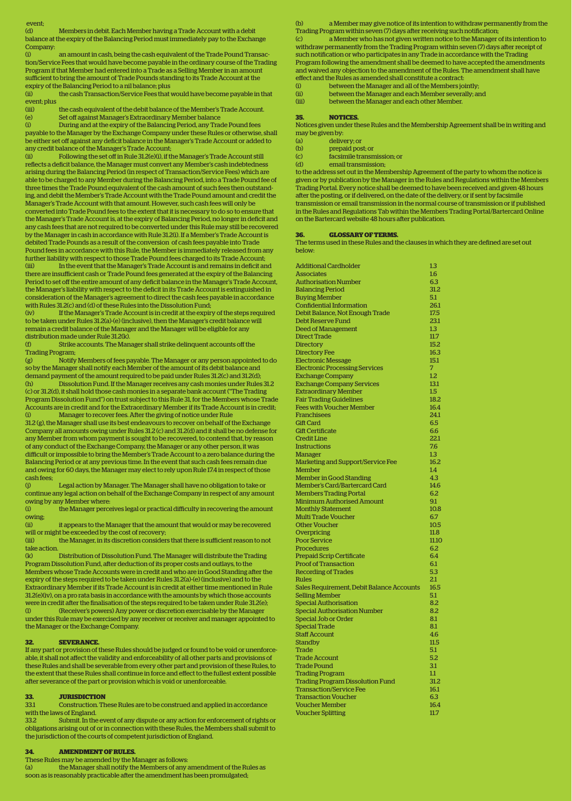#### event;

(d) Members in debit. Each Member having a Trade Account with a debit balance at the expiry of the Balancing Period must immediately pay to the Exchange

**Company:** (i) an amount in cash, being the cash equivalent of the Trade Pound Transac-

tion/Service Fees that would have become payable in the ordinary course of the Trading Program if that Member had entered into a Trade as a Selling Member in an amount sufficient to bring the amount of Trade Pounds standing to its Trade Account at the expiry of the Balancing Period to a nil balance; plus

the cash Transaction/Service Fees that would have become payable in that event; plus

the cash equivalent of the debit balance of the Member's Trade Account. (e) Set off against Manager's Extraordinary Member balance

During and at the expiry of the Balancing Period, any Trade Pound fees payable to the Manager by the Exchange Company under these Rules or otherwise, shall

be either set off against any deficit balance in the Manager's Trade Account or added to any credit balance of the Manager's Trade Account;<br>(ii) Following the set off in Bule 31 2(e)(i) if the Following the set off in Rule 31.2(e)(i), if the Manager's Trade Account still

reflects a deficit balance, the Manager must convert any Member's cash indebtedness arising during the Balancing Period (in respect of Transaction/Service Fees) which are able to be charged to any Member during the Balancing Period, into a Trade Pound fee of three times the Trade Pound equivalent of the cash amount of such fees then outstanding, and debit the Member's Trade Account with the Trade Pound amount and credit the Manager's Trade Account with that amount. However, such cash fees will only be converted into Trade Pound fees to the extent that it is necessary to do so to ensure that the Manager's Trade Account is, at the expiry of Balancing Period, no longer in deficit and any cash fees that are not required to be converted under this Rule may still be recovered by the Manager in cash in accordance with Rule 31.2(i). If a Member's Trade Account is debited Trade Pounds as a result of the conversion of cash fees payable into Trade Pound fees in accordance with this Rule, the Member is immediately released from any further liability with respect to those Trade Pound fees charged to its Trade Account; (iii) In the event that the Manager's Trade Account is and remains in deficit and there are insufficient cash or Trade Pound fees generated at the expiry of the Balancing Period to set off the entire amount of any deficit balance in the Manager's Trade Account, the Manager's liability with respect to the deficit in its Trade Account is extinguished in consideration of the Manager's agreement to direct the cash fees payable in accordance with Rules 31.2(c) and (d) of these Rules into the Dissolution Fund;

(iv) If the Manager's Trade Account is in credit at the expiry of the steps required to be taken under Rules 31.2(a)-(e) (inclusive), then the Manager's credit balance will remain a credit balance of the Manager and the Manager will be eligible for any distribution made under Rule 31.2(k).

(f) Strike accounts. The Manager shall strike delinquent accounts off the Trading Program;

(g) Notify Members of fees payable. The Manager or any person appointed to do so by the Manager shall notify each Member of the amount of its debit balance and demand payment of the amount required to be paid under Rules 31.2(c) and 31.2(d);<br>(b) [1] Dissolution Fund If the Manager receives any cash monies under Rules (h) Dissolution Fund. If the Manager receives any cash monies under Rules 31.2 (c) or 31.2(d), it shall hold those cash monies in a separate bank account ("The Trading Program Dissolution Fund") on trust subject to this Rule 31, for the Members whose Trade Accounts are in credit and for the Extraordinary Member if its Trade Account is in credit; (i) Manager to recover fees. After the giving of notice under Rule

31.2 (g), the Manager shall use its best endeavours to recover on behalf of the Exchange Company all amounts owing under Rules 31.2 (c) and 31.2(d) and it shall be no defense for any Member from whom payment is sought to be recovered, to contend that, by reason of any conduct of the Exchange Company, the Manager or any other person, it was difficult or impossible to bring the Member's Trade Account to a zero balance during the Balancing Period or at any previous time. In the event that such cash fees remain due and owing for 60 days, the Manager may elect to rely upon Rule 17.4 in respect of those cash fees;

(j) Legal action by Manager. The Manager shall have no obligation to take or continue any legal action on behalf of the Exchange Company in respect of any amount owing by any Member where:<br>(i) the Manager perce

the Manager perceives legal or practical difficulty in recovering the amount owing;

(ii) it appears to the Manager that the amount that would or may be recovered will or might be exceeded by the cost of recovery;

(iii) the Manager, in its discretion considers that there is sufficient reason to not take action.

(k) Distribution of Dissolution Fund. The Manager will distribute the Trading Program Dissolution Fund, after deduction of its proper costs and outlays, to the Members whose Trade Accounts were in credit and who are in Good Standing after the expiry of the steps required to be taken under Rules 31.2(a)-(e) (inclusive) and to the Extraordinary Member if its Trade Account is in credit at either time mentioned in Rule 31.2(e)(iv), on a pro rata basis in accordance with the amounts by which those accounts were in credit after the finalisation of the steps required to be taken under Rule 31.2(e); (l) (Receiver's powers) Any power or discretion exercisable by the Manager under this Rule may be exercised by any receiver or receiver and manager appointed to the Manager or the Exchange Company.

### **32. SEVERANCE.**

If any part or provision of these Rules should be judged or found to be void or unenforceable, it shall not affect the validity and enforceability of all other parts and provisions of these Rules and shall be severable from every other part and provision of these Rules, to the extent that these Rules shall continue in force and effect to the fullest extent possible after severance of the part or provision which is void or unenforceable.

## **33. JURISDICTION**

33.1 Construction. These Rules are to be construed and applied in accordance with the laws of England.

33.2 Submit. In the event of any dispute or any action for enforcement of rights or obligations arising out of or in connection with these Rules, the Members shall submit to the jurisdiction of the courts of competent jurisdiction of England.

## **34. AMENDMENT OF RULES.**

These Rules may be amended by the Manager as follows:

(a) the Manager shall notify the Members of any amendment of the Rules as soon as is reasonably practicable after the amendment has been promulgated;

a Member may give notice of its intention to withdraw permanently from the Trading Program within seven (7) days after receiving such notification;

(c) a Member who has not given written notice to the Manager of its intention to withdraw permanently from the Trading Program within seven (7) days after receipt of such notification or who participates in any Trade in accordance with the Trading Program following the amendment shall be deemed to have accepted the amendments and waived any objection to the amendment of the Rules. The amendment shall have effect and the Rules as amended shall constitute a contract:

- (i) between the Manager and all of the Members jointly;<br>(ii) between the Manager and each Member severally: and
- (ii) between the Manager and each Member severally; and<br>(iii) between the Manager and each other Member
- between the Manager and each other Member.

#### **35. NOTICES.**

Notices given under these Rules and the Membership Agreement shall be in writing and may be given by:

(a) delivery; or

- (b) prepaid post; or<br>(c) facsimile transm
- facsimile transmission; or (d) email transmission;

to the address set out in the Membership Agreement of the party to whom the notice is given or by publication by the Manager in the Rules and Regulations within the Members Trading Portal. Every notice shall be deemed to have been received and given 48 hours after the posting, or if delivered, on the date of the delivery, or if sent by facsimile transmission or email transmission in the normal course of transmission or if published

in the Rules and Regulations Tab within the Members Trading Portal/Bartercard Online on the Bartercard website 48 hours after publication.

### **36. GLOSSARY OF TERMS.**

The terms used in these Rules and the clauses in which they are defined are set out below:

| <b>Additional Cardholder</b>              | $1.3\,$ |
|-------------------------------------------|---------|
| <b>Associates</b>                         | 1.6     |
| <b>Authorisation Number</b>               | 6.3     |
| <b>Balancing Period</b>                   | 31.2    |
| <b>Buying Member</b>                      | 5.1     |
| <b>Confidential Information</b>           | 26.1    |
| Debit Balance, Not Enough Trade           | 17.5    |
| <b>Debt Reserve Fund</b>                  | 23.1    |
| <b>Deed of Management</b>                 | 1.3     |
| <b>Direct Trade</b>                       | 11.7    |
| <b>Directory</b>                          | 15.2    |
| <b>Directory Fee</b>                      | 16.3    |
| <b>Electronic Message</b>                 | 15.1    |
| <b>Electronic Processing Services</b>     | 7       |
| <b>Exchange Company</b>                   | 1.2     |
|                                           | 13.1    |
| <b>Exchange Company Services</b>          |         |
| <b>Extraordinary Member</b>               | 1.5     |
| <b>Fair Trading Guidelines</b>            | 18.2    |
| <b>Fees with Voucher Member</b>           | 16.4    |
| Franchisees                               | 24.1    |
| <b>Gift Card</b>                          | 6.5     |
| <b>Gift Certificate</b>                   | 6.6     |
| <b>Credit Line</b>                        | 22.1    |
| <b>Instructions</b>                       | 7.6     |
| <b>Manager</b>                            | 1.3     |
| Marketing and Support/Service Fee         | 16.2    |
| <b>Member</b>                             | 1.4     |
| <b>Member in Good Standing</b>            | 4.3     |
| <b>Member's Card/Bartercard Card</b>      | 14.6    |
| <b>Members Trading Portal</b>             | 6.2     |
| <b>Minimum Authorised Amount</b>          | 9.1     |
| <b>Monthly Statement</b>                  | 10.8    |
| <b>Multi Trade Voucher</b>                | 6.7     |
| <b>Other Voucher</b>                      | 10.5    |
| Overpricing                               | 11.8    |
| <b>Poor Service</b>                       | 11.10   |
|                                           | 6.2     |
| <b>Procedures</b>                         |         |
| <b>Prepaid Scrip Certificate</b>          | 6.4     |
| <b>Proof of Transaction</b>               | 6.1     |
| <b>Recording of Trades</b>                | 5.3     |
| Rules                                     | 2.1     |
| Sales Requirement, Debit Balance Accounts | 16.5    |
| <b>Selling Member</b>                     | 5.1     |
| <b>Special Authorisation</b>              | 8.2     |
| <b>Special Authorisation Number</b>       | 8.2     |
| <b>Special Job or Order</b>               | 8.1     |
| <b>Special Trade</b>                      | 8.1     |
| <b>Staff Account</b>                      | 4.6     |
| <b>Standby</b>                            | 11.5    |
| Trade                                     | 5.1     |
| <b>Trade Account</b>                      | 5.2     |
| <b>Trade Pound</b>                        | 3.1     |
| <b>Trading Program</b>                    | $1.1\,$ |
| <b>Trading Program Dissolution Fund</b>   | 31.2    |
|                                           |         |
| <b>Transaction/Service Fee</b>            | 16.1    |
| <b>Transaction Voucher</b>                | 6.3     |
| <b>Voucher Member</b>                     | 16.4    |
| <b>Voucher Splitting</b>                  | 11.7    |